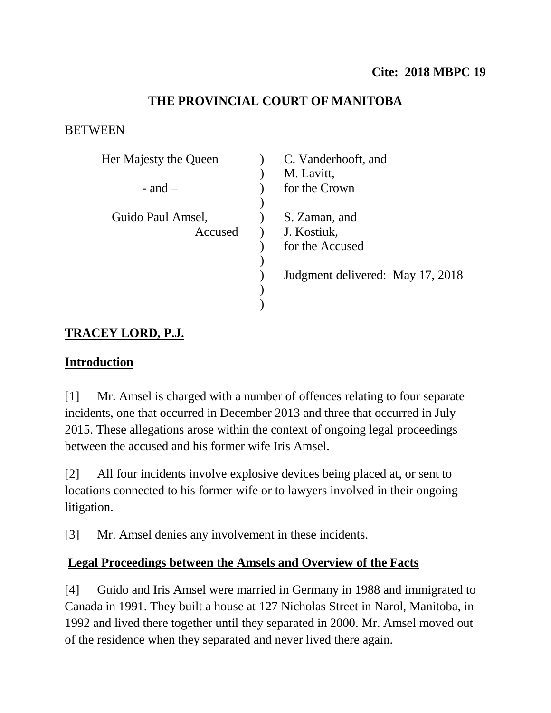# **THE PROVINCIAL COURT OF MANITOBA**

### **BETWEEN**

| Her Majesty the Queen | C. Vanderhooft, and              |
|-----------------------|----------------------------------|
|                       | M. Lavitt,                       |
| $-$ and $-$           | for the Crown                    |
|                       |                                  |
| Guido Paul Amsel,     | S. Zaman, and                    |
| Accused               | J. Kostiuk,                      |
|                       | for the Accused                  |
|                       |                                  |
|                       | Judgment delivered: May 17, 2018 |
|                       |                                  |
|                       |                                  |

# **TRACEY LORD, P.J.**

## **Introduction**

[1] Mr. Amsel is charged with a number of offences relating to four separate incidents, one that occurred in December 2013 and three that occurred in July 2015. These allegations arose within the context of ongoing legal proceedings between the accused and his former wife Iris Amsel.

[2] All four incidents involve explosive devices being placed at, or sent to locations connected to his former wife or to lawyers involved in their ongoing litigation.

[3] Mr. Amsel denies any involvement in these incidents.

# **Legal Proceedings between the Amsels and Overview of the Facts**

[4] Guido and Iris Amsel were married in Germany in 1988 and immigrated to Canada in 1991. They built a house at 127 Nicholas Street in Narol, Manitoba, in 1992 and lived there together until they separated in 2000. Mr. Amsel moved out of the residence when they separated and never lived there again.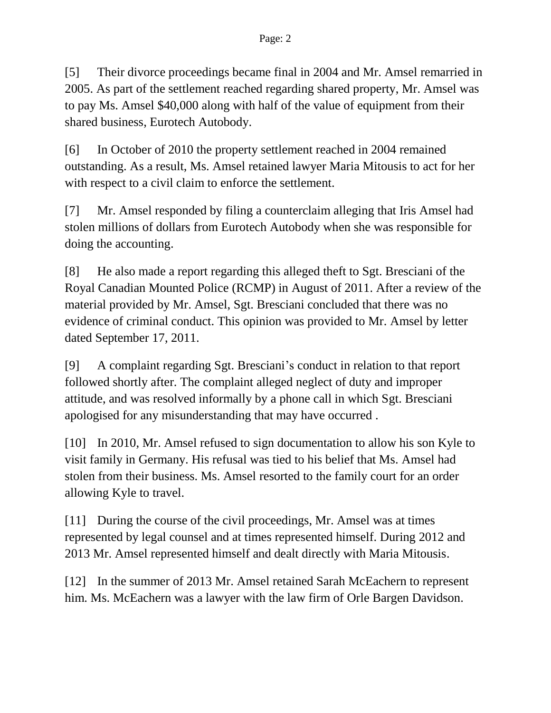[5] Their divorce proceedings became final in 2004 and Mr. Amsel remarried in 2005. As part of the settlement reached regarding shared property, Mr. Amsel was to pay Ms. Amsel \$40,000 along with half of the value of equipment from their shared business, Eurotech Autobody.

[6] In October of 2010 the property settlement reached in 2004 remained outstanding. As a result, Ms. Amsel retained lawyer Maria Mitousis to act for her with respect to a civil claim to enforce the settlement.

[7] Mr. Amsel responded by filing a counterclaim alleging that Iris Amsel had stolen millions of dollars from Eurotech Autobody when she was responsible for doing the accounting.

[8] He also made a report regarding this alleged theft to Sgt. Bresciani of the Royal Canadian Mounted Police (RCMP) in August of 2011. After a review of the material provided by Mr. Amsel, Sgt. Bresciani concluded that there was no evidence of criminal conduct. This opinion was provided to Mr. Amsel by letter dated September 17, 2011.

[9] A complaint regarding Sgt. Bresciani's conduct in relation to that report followed shortly after. The complaint alleged neglect of duty and improper attitude, and was resolved informally by a phone call in which Sgt. Bresciani apologised for any misunderstanding that may have occurred .

[10] In 2010, Mr. Amsel refused to sign documentation to allow his son Kyle to visit family in Germany. His refusal was tied to his belief that Ms. Amsel had stolen from their business. Ms. Amsel resorted to the family court for an order allowing Kyle to travel.

[11] During the course of the civil proceedings, Mr. Amsel was at times represented by legal counsel and at times represented himself. During 2012 and 2013 Mr. Amsel represented himself and dealt directly with Maria Mitousis.

[12] In the summer of 2013 Mr. Amsel retained Sarah McEachern to represent him. Ms. McEachern was a lawyer with the law firm of Orle Bargen Davidson.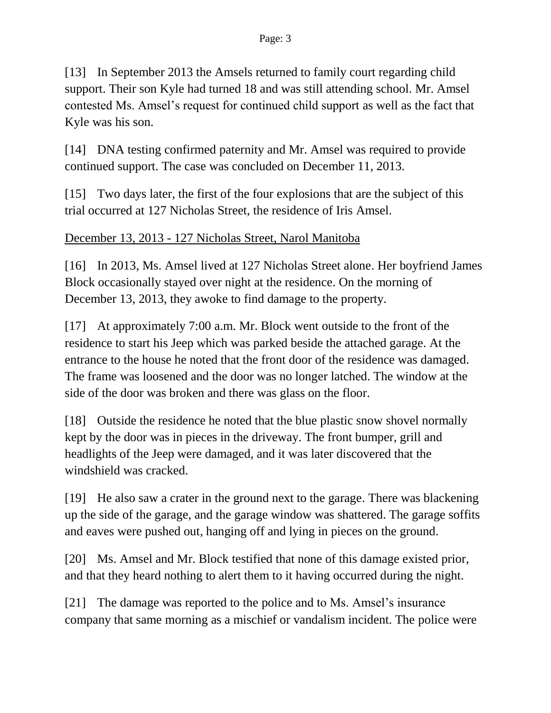[13] In September 2013 the Amsels returned to family court regarding child support. Their son Kyle had turned 18 and was still attending school. Mr. Amsel contested Ms. Amsel's request for continued child support as well as the fact that Kyle was his son.

[14] DNA testing confirmed paternity and Mr. Amsel was required to provide continued support. The case was concluded on December 11, 2013.

[15] Two days later, the first of the four explosions that are the subject of this trial occurred at 127 Nicholas Street, the residence of Iris Amsel.

# December 13, 2013 - 127 Nicholas Street, Narol Manitoba

[16] In 2013, Ms. Amsel lived at 127 Nicholas Street alone. Her boyfriend James Block occasionally stayed over night at the residence. On the morning of December 13, 2013, they awoke to find damage to the property.

[17] At approximately 7:00 a.m. Mr. Block went outside to the front of the residence to start his Jeep which was parked beside the attached garage. At the entrance to the house he noted that the front door of the residence was damaged. The frame was loosened and the door was no longer latched. The window at the side of the door was broken and there was glass on the floor.

[18] Outside the residence he noted that the blue plastic snow shovel normally kept by the door was in pieces in the driveway. The front bumper, grill and headlights of the Jeep were damaged, and it was later discovered that the windshield was cracked.

[19] He also saw a crater in the ground next to the garage. There was blackening up the side of the garage, and the garage window was shattered. The garage soffits and eaves were pushed out, hanging off and lying in pieces on the ground.

[20] Ms. Amsel and Mr. Block testified that none of this damage existed prior, and that they heard nothing to alert them to it having occurred during the night.

[21] The damage was reported to the police and to Ms. Amsel's insurance company that same morning as a mischief or vandalism incident. The police were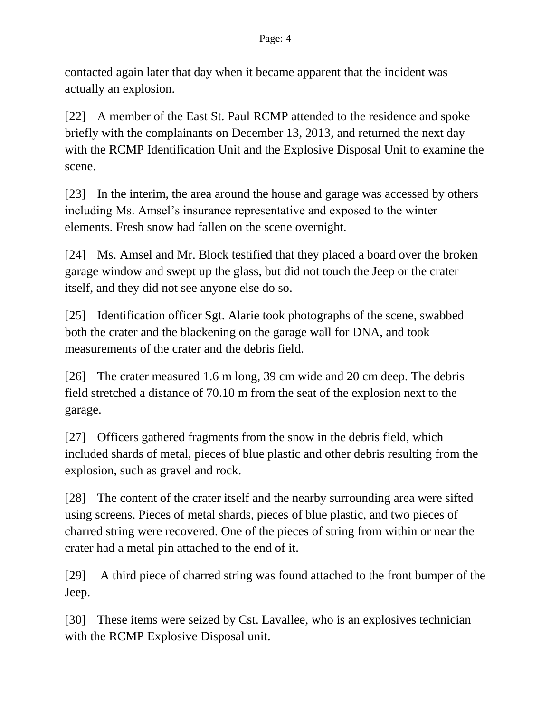contacted again later that day when it became apparent that the incident was actually an explosion.

[22] A member of the East St. Paul RCMP attended to the residence and spoke briefly with the complainants on December 13, 2013, and returned the next day with the RCMP Identification Unit and the Explosive Disposal Unit to examine the scene.

[23] In the interim, the area around the house and garage was accessed by others including Ms. Amsel's insurance representative and exposed to the winter elements. Fresh snow had fallen on the scene overnight.

[24] Ms. Amsel and Mr. Block testified that they placed a board over the broken garage window and swept up the glass, but did not touch the Jeep or the crater itself, and they did not see anyone else do so.

[25] Identification officer Sgt. Alarie took photographs of the scene, swabbed both the crater and the blackening on the garage wall for DNA, and took measurements of the crater and the debris field.

[26] The crater measured 1.6 m long, 39 cm wide and 20 cm deep. The debris field stretched a distance of 70.10 m from the seat of the explosion next to the garage.

[27] Officers gathered fragments from the snow in the debris field, which included shards of metal, pieces of blue plastic and other debris resulting from the explosion, such as gravel and rock.

[28] The content of the crater itself and the nearby surrounding area were sifted using screens. Pieces of metal shards, pieces of blue plastic, and two pieces of charred string were recovered. One of the pieces of string from within or near the crater had a metal pin attached to the end of it.

[29] A third piece of charred string was found attached to the front bumper of the Jeep.

[30] These items were seized by Cst. Lavallee, who is an explosives technician with the RCMP Explosive Disposal unit.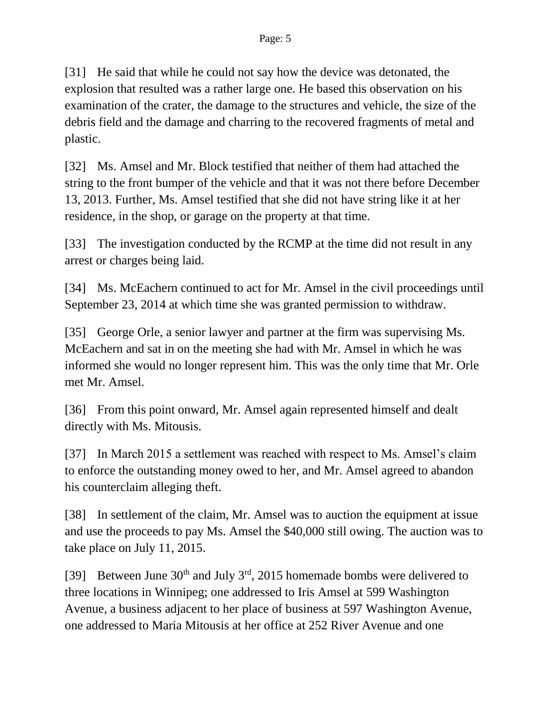[31] He said that while he could not say how the device was detonated, the explosion that resulted was a rather large one. He based this observation on his examination of the crater, the damage to the structures and vehicle, the size of the debris field and the damage and charring to the recovered fragments of metal and plastic.

[32] Ms. Amsel and Mr. Block testified that neither of them had attached the string to the front bumper of the vehicle and that it was not there before December 13, 2013. Further, Ms. Amsel testified that she did not have string like it at her residence, in the shop, or garage on the property at that time.

[33] The investigation conducted by the RCMP at the time did not result in any arrest or charges being laid.

[34] Ms. McEachern continued to act for Mr. Amsel in the civil proceedings until September 23, 2014 at which time she was granted permission to withdraw.

[35] George Orle, a senior lawyer and partner at the firm was supervising Ms. McEachern and sat in on the meeting she had with Mr. Amsel in which he was informed she would no longer represent him. This was the only time that Mr. Orle met Mr. Amsel.

[36] From this point onward, Mr. Amsel again represented himself and dealt directly with Ms. Mitousis.

[37] In March 2015 a settlement was reached with respect to Ms. Amsel's claim to enforce the outstanding money owed to her, and Mr. Amsel agreed to abandon his counterclaim alleging theft.

[38] In settlement of the claim, Mr. Amsel was to auction the equipment at issue and use the proceeds to pay Ms. Amsel the \$40,000 still owing. The auction was to take place on July 11, 2015.

[39] Between June  $30<sup>th</sup>$  and July  $3<sup>rd</sup>$ , 2015 homemade bombs were delivered to three locations in Winnipeg; one addressed to Iris Amsel at 599 Washington Avenue, a business adjacent to her place of business at 597 Washington Avenue, one addressed to Maria Mitousis at her office at 252 River Avenue and one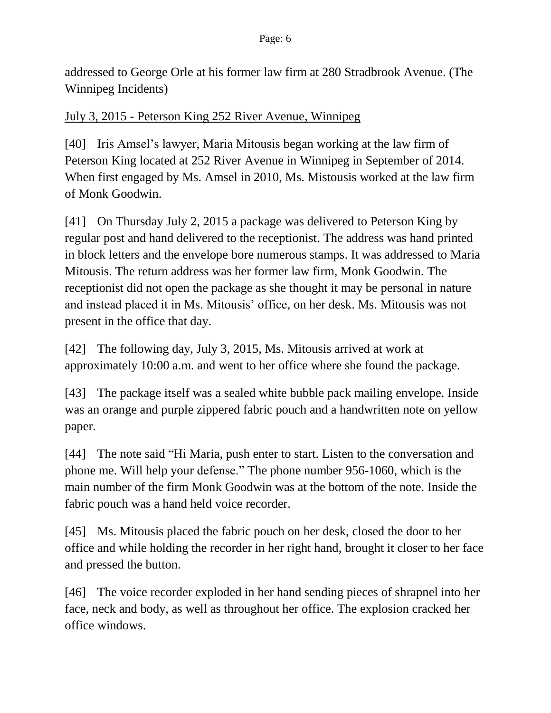addressed to George Orle at his former law firm at 280 Stradbrook Avenue. (The Winnipeg Incidents)

### July 3, 2015 - Peterson King 252 River Avenue, Winnipeg

[40] Iris Amsel's lawyer, Maria Mitousis began working at the law firm of Peterson King located at 252 River Avenue in Winnipeg in September of 2014. When first engaged by Ms. Amsel in 2010, Ms. Mistousis worked at the law firm of Monk Goodwin.

[41] On Thursday July 2, 2015 a package was delivered to Peterson King by regular post and hand delivered to the receptionist. The address was hand printed in block letters and the envelope bore numerous stamps. It was addressed to Maria Mitousis. The return address was her former law firm, Monk Goodwin. The receptionist did not open the package as she thought it may be personal in nature and instead placed it in Ms. Mitousis' office, on her desk. Ms. Mitousis was not present in the office that day.

[42] The following day, July 3, 2015, Ms. Mitousis arrived at work at approximately 10:00 a.m. and went to her office where she found the package.

[43] The package itself was a sealed white bubble pack mailing envelope. Inside was an orange and purple zippered fabric pouch and a handwritten note on yellow paper.

[44] The note said "Hi Maria, push enter to start. Listen to the conversation and phone me. Will help your defense." The phone number 956-1060, which is the main number of the firm Monk Goodwin was at the bottom of the note. Inside the fabric pouch was a hand held voice recorder.

[45] Ms. Mitousis placed the fabric pouch on her desk, closed the door to her office and while holding the recorder in her right hand, brought it closer to her face and pressed the button.

[46] The voice recorder exploded in her hand sending pieces of shrapnel into her face, neck and body, as well as throughout her office. The explosion cracked her office windows.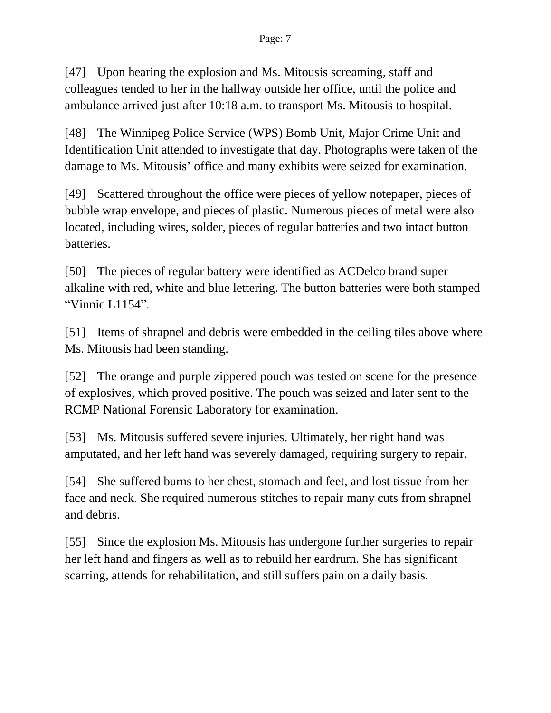[47] Upon hearing the explosion and Ms. Mitousis screaming, staff and colleagues tended to her in the hallway outside her office, until the police and ambulance arrived just after 10:18 a.m. to transport Ms. Mitousis to hospital.

[48] The Winnipeg Police Service (WPS) Bomb Unit, Major Crime Unit and Identification Unit attended to investigate that day. Photographs were taken of the damage to Ms. Mitousis' office and many exhibits were seized for examination.

[49] Scattered throughout the office were pieces of yellow notepaper, pieces of bubble wrap envelope, and pieces of plastic. Numerous pieces of metal were also located, including wires, solder, pieces of regular batteries and two intact button batteries.

[50] The pieces of regular battery were identified as ACDelco brand super alkaline with red, white and blue lettering. The button batteries were both stamped "Vinnic L1154".

[51] Items of shrapnel and debris were embedded in the ceiling tiles above where Ms. Mitousis had been standing.

[52] The orange and purple zippered pouch was tested on scene for the presence of explosives, which proved positive. The pouch was seized and later sent to the RCMP National Forensic Laboratory for examination.

[53] Ms. Mitousis suffered severe injuries. Ultimately, her right hand was amputated, and her left hand was severely damaged, requiring surgery to repair.

[54] She suffered burns to her chest, stomach and feet, and lost tissue from her face and neck. She required numerous stitches to repair many cuts from shrapnel and debris.

[55] Since the explosion Ms. Mitousis has undergone further surgeries to repair her left hand and fingers as well as to rebuild her eardrum. She has significant scarring, attends for rehabilitation, and still suffers pain on a daily basis.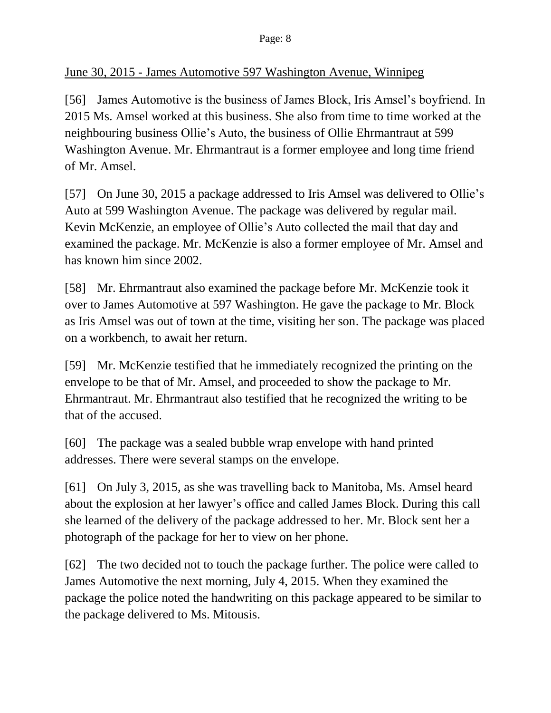## June 30, 2015 - James Automotive 597 Washington Avenue, Winnipeg

[56] James Automotive is the business of James Block, Iris Amsel's boyfriend. In 2015 Ms. Amsel worked at this business. She also from time to time worked at the neighbouring business Ollie's Auto, the business of Ollie Ehrmantraut at 599 Washington Avenue. Mr. Ehrmantraut is a former employee and long time friend of Mr. Amsel.

[57] On June 30, 2015 a package addressed to Iris Amsel was delivered to Ollie's Auto at 599 Washington Avenue. The package was delivered by regular mail. Kevin McKenzie, an employee of Ollie's Auto collected the mail that day and examined the package. Mr. McKenzie is also a former employee of Mr. Amsel and has known him since 2002.

[58] Mr. Ehrmantraut also examined the package before Mr. McKenzie took it over to James Automotive at 597 Washington. He gave the package to Mr. Block as Iris Amsel was out of town at the time, visiting her son. The package was placed on a workbench, to await her return.

[59] Mr. McKenzie testified that he immediately recognized the printing on the envelope to be that of Mr. Amsel, and proceeded to show the package to Mr. Ehrmantraut. Mr. Ehrmantraut also testified that he recognized the writing to be that of the accused.

[60] The package was a sealed bubble wrap envelope with hand printed addresses. There were several stamps on the envelope.

[61] On July 3, 2015, as she was travelling back to Manitoba, Ms. Amsel heard about the explosion at her lawyer's office and called James Block. During this call she learned of the delivery of the package addressed to her. Mr. Block sent her a photograph of the package for her to view on her phone.

[62] The two decided not to touch the package further. The police were called to James Automotive the next morning, July 4, 2015. When they examined the package the police noted the handwriting on this package appeared to be similar to the package delivered to Ms. Mitousis.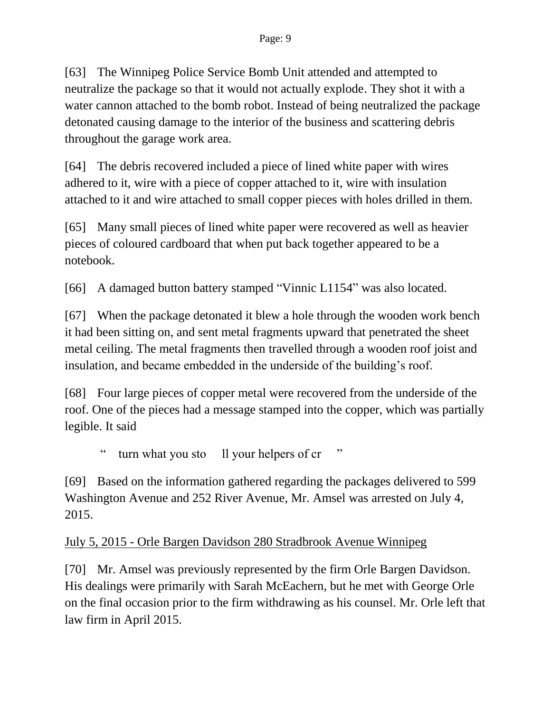[63] The Winnipeg Police Service Bomb Unit attended and attempted to neutralize the package so that it would not actually explode. They shot it with a water cannon attached to the bomb robot. Instead of being neutralized the package detonated causing damage to the interior of the business and scattering debris throughout the garage work area.

[64] The debris recovered included a piece of lined white paper with wires adhered to it, wire with a piece of copper attached to it, wire with insulation attached to it and wire attached to small copper pieces with holes drilled in them.

[65] Many small pieces of lined white paper were recovered as well as heavier pieces of coloured cardboard that when put back together appeared to be a notebook.

[66] A damaged button battery stamped "Vinnic L1154" was also located.

[67] When the package detonated it blew a hole through the wooden work bench it had been sitting on, and sent metal fragments upward that penetrated the sheet metal ceiling. The metal fragments then travelled through a wooden roof joist and insulation, and became embedded in the underside of the building's roof.

[68] Four large pieces of copper metal were recovered from the underside of the roof. One of the pieces had a message stamped into the copper, which was partially legible. It said

turn what you sto ll your helpers of cr

[69] Based on the information gathered regarding the packages delivered to 599 Washington Avenue and 252 River Avenue, Mr. Amsel was arrested on July 4, 2015.

### July 5, 2015 - Orle Bargen Davidson 280 Stradbrook Avenue Winnipeg

[70] Mr. Amsel was previously represented by the firm Orle Bargen Davidson. His dealings were primarily with Sarah McEachern, but he met with George Orle on the final occasion prior to the firm withdrawing as his counsel. Mr. Orle left that law firm in April 2015.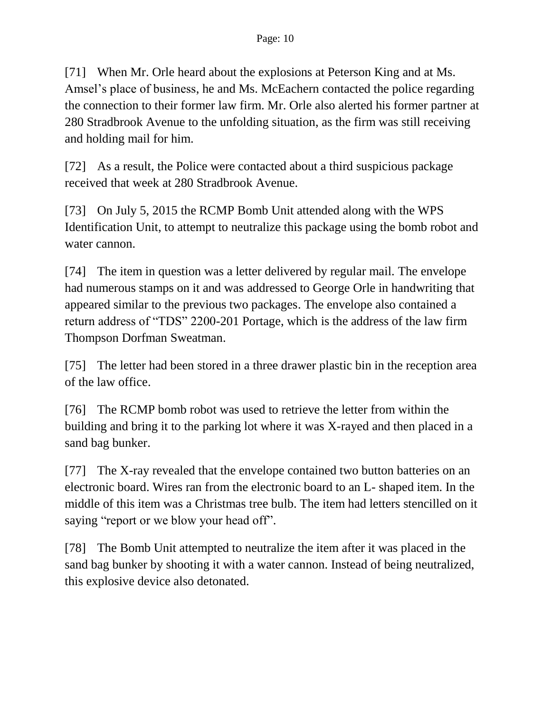[71] When Mr. Orle heard about the explosions at Peterson King and at Ms. Amsel's place of business, he and Ms. McEachern contacted the police regarding the connection to their former law firm. Mr. Orle also alerted his former partner at 280 Stradbrook Avenue to the unfolding situation, as the firm was still receiving and holding mail for him.

[72] As a result, the Police were contacted about a third suspicious package received that week at 280 Stradbrook Avenue.

[73] On July 5, 2015 the RCMP Bomb Unit attended along with the WPS Identification Unit, to attempt to neutralize this package using the bomb robot and water cannon.

[74] The item in question was a letter delivered by regular mail. The envelope had numerous stamps on it and was addressed to George Orle in handwriting that appeared similar to the previous two packages. The envelope also contained a return address of "TDS" 2200-201 Portage, which is the address of the law firm Thompson Dorfman Sweatman.

[75] The letter had been stored in a three drawer plastic bin in the reception area of the law office.

[76] The RCMP bomb robot was used to retrieve the letter from within the building and bring it to the parking lot where it was X-rayed and then placed in a sand bag bunker.

[77] The X-ray revealed that the envelope contained two button batteries on an electronic board. Wires ran from the electronic board to an L- shaped item. In the middle of this item was a Christmas tree bulb. The item had letters stencilled on it saying "report or we blow your head off".

[78] The Bomb Unit attempted to neutralize the item after it was placed in the sand bag bunker by shooting it with a water cannon. Instead of being neutralized, this explosive device also detonated.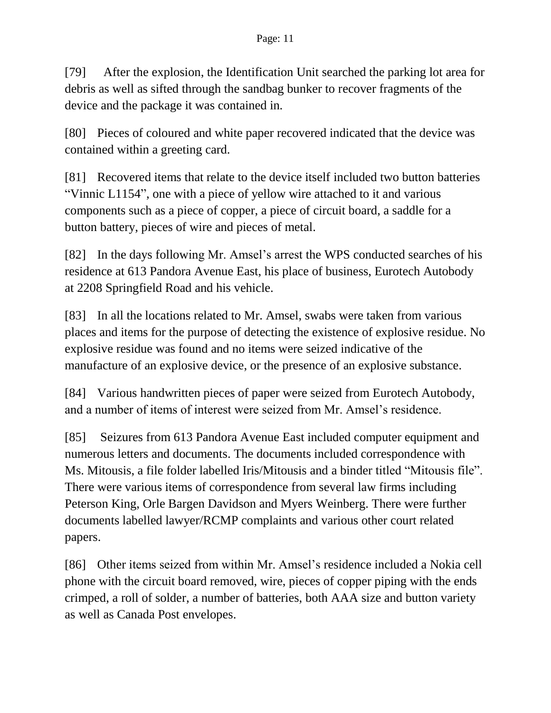[79] After the explosion, the Identification Unit searched the parking lot area for debris as well as sifted through the sandbag bunker to recover fragments of the device and the package it was contained in.

[80] Pieces of coloured and white paper recovered indicated that the device was contained within a greeting card.

[81] Recovered items that relate to the device itself included two button batteries "Vinnic L1154", one with a piece of yellow wire attached to it and various components such as a piece of copper, a piece of circuit board, a saddle for a button battery, pieces of wire and pieces of metal.

[82] In the days following Mr. Amsel's arrest the WPS conducted searches of his residence at 613 Pandora Avenue East, his place of business, Eurotech Autobody at 2208 Springfield Road and his vehicle.

[83] In all the locations related to Mr. Amsel, swabs were taken from various places and items for the purpose of detecting the existence of explosive residue. No explosive residue was found and no items were seized indicative of the manufacture of an explosive device, or the presence of an explosive substance.

[84] Various handwritten pieces of paper were seized from Eurotech Autobody, and a number of items of interest were seized from Mr. Amsel's residence.

[85] Seizures from 613 Pandora Avenue East included computer equipment and numerous letters and documents. The documents included correspondence with Ms. Mitousis, a file folder labelled Iris/Mitousis and a binder titled "Mitousis file". There were various items of correspondence from several law firms including Peterson King, Orle Bargen Davidson and Myers Weinberg. There were further documents labelled lawyer/RCMP complaints and various other court related papers.

[86] Other items seized from within Mr. Amsel's residence included a Nokia cell phone with the circuit board removed, wire, pieces of copper piping with the ends crimped, a roll of solder, a number of batteries, both AAA size and button variety as well as Canada Post envelopes.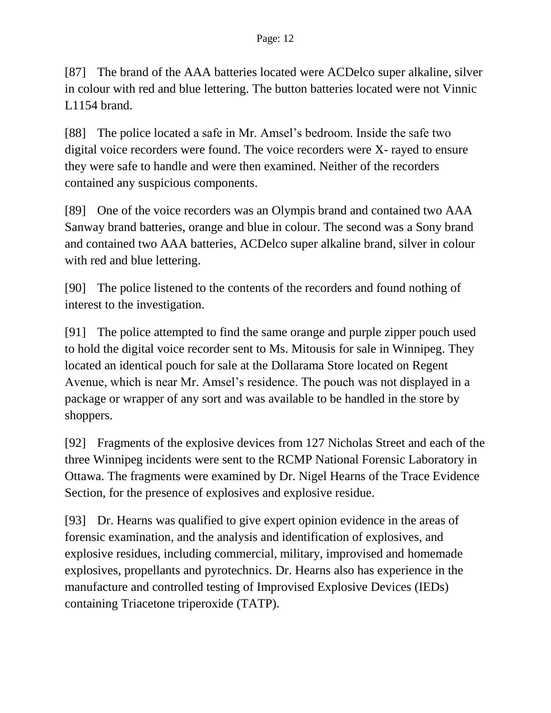[87] The brand of the AAA batteries located were ACDelco super alkaline, silver in colour with red and blue lettering. The button batteries located were not Vinnic L<sub>1154</sub> brand.

[88] The police located a safe in Mr. Amsel's bedroom. Inside the safe two digital voice recorders were found. The voice recorders were X- rayed to ensure they were safe to handle and were then examined. Neither of the recorders contained any suspicious components.

[89] One of the voice recorders was an Olympis brand and contained two AAA Sanway brand batteries, orange and blue in colour. The second was a Sony brand and contained two AAA batteries, ACDelco super alkaline brand, silver in colour with red and blue lettering.

[90] The police listened to the contents of the recorders and found nothing of interest to the investigation.

[91] The police attempted to find the same orange and purple zipper pouch used to hold the digital voice recorder sent to Ms. Mitousis for sale in Winnipeg. They located an identical pouch for sale at the Dollarama Store located on Regent Avenue, which is near Mr. Amsel's residence. The pouch was not displayed in a package or wrapper of any sort and was available to be handled in the store by shoppers.

[92] Fragments of the explosive devices from 127 Nicholas Street and each of the three Winnipeg incidents were sent to the RCMP National Forensic Laboratory in Ottawa. The fragments were examined by Dr. Nigel Hearns of the Trace Evidence Section, for the presence of explosives and explosive residue.

[93] Dr. Hearns was qualified to give expert opinion evidence in the areas of forensic examination, and the analysis and identification of explosives, and explosive residues, including commercial, military, improvised and homemade explosives, propellants and pyrotechnics. Dr. Hearns also has experience in the manufacture and controlled testing of Improvised Explosive Devices (IEDs) containing Triacetone triperoxide (TATP).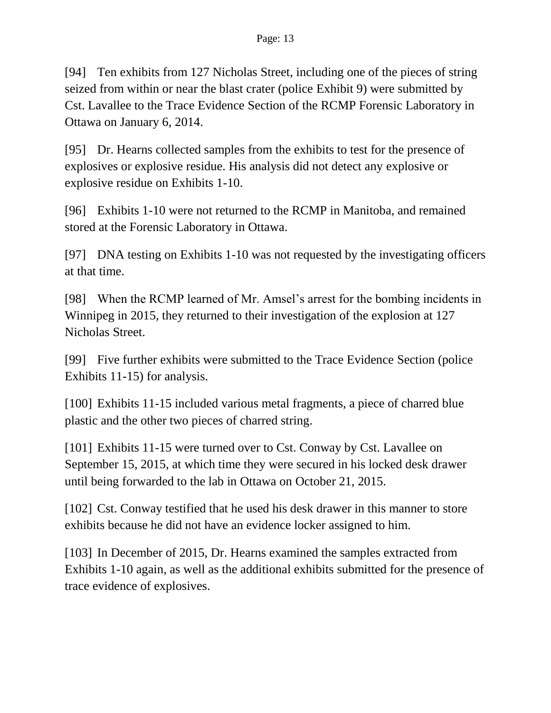[94] Ten exhibits from 127 Nicholas Street, including one of the pieces of string seized from within or near the blast crater (police Exhibit 9) were submitted by Cst. Lavallee to the Trace Evidence Section of the RCMP Forensic Laboratory in Ottawa on January 6, 2014.

[95] Dr. Hearns collected samples from the exhibits to test for the presence of explosives or explosive residue. His analysis did not detect any explosive or explosive residue on Exhibits 1-10.

[96] Exhibits 1-10 were not returned to the RCMP in Manitoba, and remained stored at the Forensic Laboratory in Ottawa.

[97] DNA testing on Exhibits 1-10 was not requested by the investigating officers at that time.

[98] When the RCMP learned of Mr. Amsel's arrest for the bombing incidents in Winnipeg in 2015, they returned to their investigation of the explosion at 127 Nicholas Street.

[99] Five further exhibits were submitted to the Trace Evidence Section (police Exhibits 11-15) for analysis.

[100] Exhibits 11-15 included various metal fragments, a piece of charred blue plastic and the other two pieces of charred string.

[101] Exhibits 11-15 were turned over to Cst. Conway by Cst. Lavallee on September 15, 2015, at which time they were secured in his locked desk drawer until being forwarded to the lab in Ottawa on October 21, 2015.

[102] Cst. Conway testified that he used his desk drawer in this manner to store exhibits because he did not have an evidence locker assigned to him.

[103] In December of 2015, Dr. Hearns examined the samples extracted from Exhibits 1-10 again, as well as the additional exhibits submitted for the presence of trace evidence of explosives.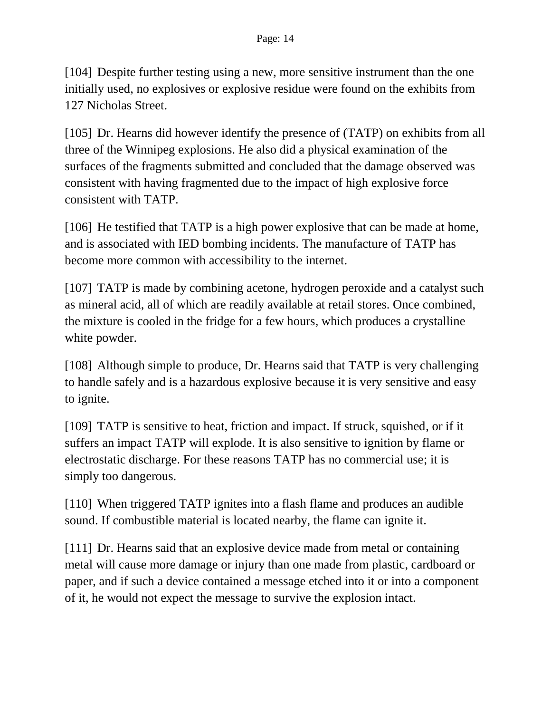[104] Despite further testing using a new, more sensitive instrument than the one initially used, no explosives or explosive residue were found on the exhibits from 127 Nicholas Street.

[105] Dr. Hearns did however identify the presence of (TATP) on exhibits from all three of the Winnipeg explosions. He also did a physical examination of the surfaces of the fragments submitted and concluded that the damage observed was consistent with having fragmented due to the impact of high explosive force consistent with TATP.

[106] He testified that TATP is a high power explosive that can be made at home, and is associated with IED bombing incidents. The manufacture of TATP has become more common with accessibility to the internet.

[107] TATP is made by combining acetone, hydrogen peroxide and a catalyst such as mineral acid, all of which are readily available at retail stores. Once combined, the mixture is cooled in the fridge for a few hours, which produces a crystalline white powder.

[108] Although simple to produce, Dr. Hearns said that TATP is very challenging to handle safely and is a hazardous explosive because it is very sensitive and easy to ignite.

[109] TATP is sensitive to heat, friction and impact. If struck, squished, or if it suffers an impact TATP will explode. It is also sensitive to ignition by flame or electrostatic discharge. For these reasons TATP has no commercial use; it is simply too dangerous.

[110] When triggered TATP ignites into a flash flame and produces an audible sound. If combustible material is located nearby, the flame can ignite it.

[111] Dr. Hearns said that an explosive device made from metal or containing metal will cause more damage or injury than one made from plastic, cardboard or paper, and if such a device contained a message etched into it or into a component of it, he would not expect the message to survive the explosion intact.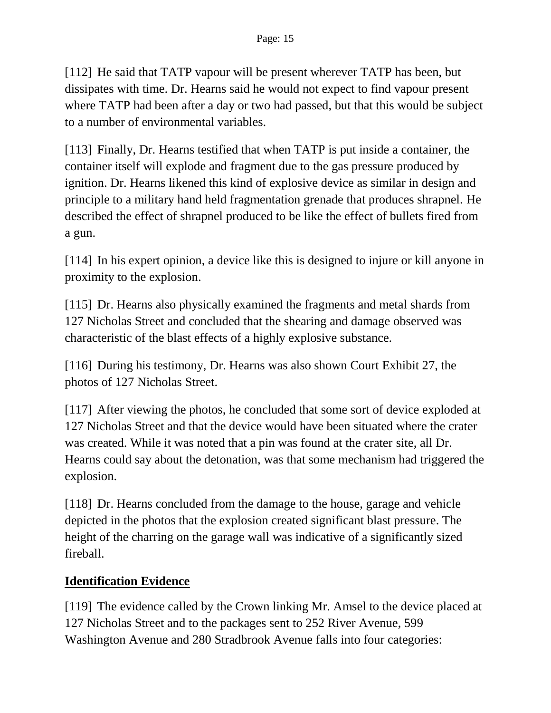[112] He said that TATP vapour will be present wherever TATP has been, but dissipates with time. Dr. Hearns said he would not expect to find vapour present where TATP had been after a day or two had passed, but that this would be subject to a number of environmental variables.

[113] Finally, Dr. Hearns testified that when TATP is put inside a container, the container itself will explode and fragment due to the gas pressure produced by ignition. Dr. Hearns likened this kind of explosive device as similar in design and principle to a military hand held fragmentation grenade that produces shrapnel. He described the effect of shrapnel produced to be like the effect of bullets fired from a gun.

[114] In his expert opinion, a device like this is designed to injure or kill anyone in proximity to the explosion.

[115] Dr. Hearns also physically examined the fragments and metal shards from 127 Nicholas Street and concluded that the shearing and damage observed was characteristic of the blast effects of a highly explosive substance.

[116] During his testimony, Dr. Hearns was also shown Court Exhibit 27, the photos of 127 Nicholas Street.

[117] After viewing the photos, he concluded that some sort of device exploded at 127 Nicholas Street and that the device would have been situated where the crater was created. While it was noted that a pin was found at the crater site, all Dr. Hearns could say about the detonation, was that some mechanism had triggered the explosion.

[118] Dr. Hearns concluded from the damage to the house, garage and vehicle depicted in the photos that the explosion created significant blast pressure. The height of the charring on the garage wall was indicative of a significantly sized fireball.

### **Identification Evidence**

[119] The evidence called by the Crown linking Mr. Amsel to the device placed at 127 Nicholas Street and to the packages sent to 252 River Avenue, 599 Washington Avenue and 280 Stradbrook Avenue falls into four categories: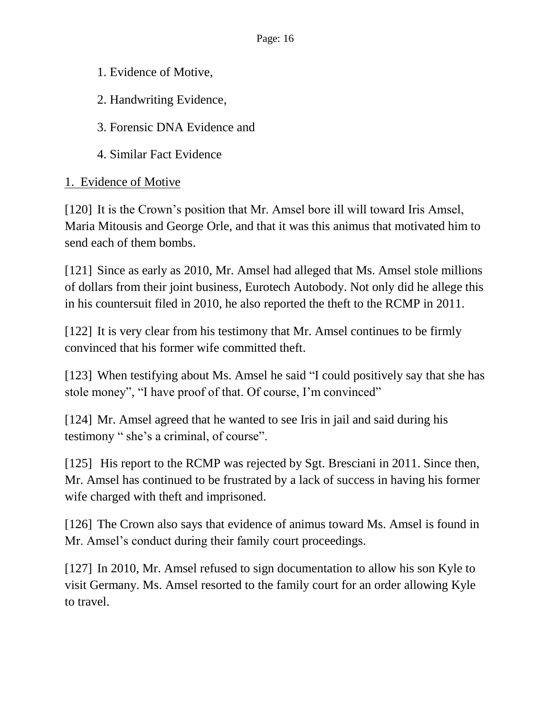- 1. Evidence of Motive,
- 2. Handwriting Evidence,
- 3. Forensic DNA Evidence and
- 4. Similar Fact Evidence

# 1. Evidence of Motive

[120] It is the Crown's position that Mr. Amsel bore ill will toward Iris Amsel, Maria Mitousis and George Orle, and that it was this animus that motivated him to send each of them bombs.

[121] Since as early as 2010, Mr. Amsel had alleged that Ms. Amsel stole millions of dollars from their joint business, Eurotech Autobody. Not only did he allege this in his countersuit filed in 2010, he also reported the theft to the RCMP in 2011.

[122] It is very clear from his testimony that Mr. Amsel continues to be firmly convinced that his former wife committed theft.

[123] When testifying about Ms. Amsel he said "I could positively say that she has stole money", "I have proof of that. Of course, I'm convinced"

[124] Mr. Amsel agreed that he wanted to see Iris in jail and said during his testimony " she's a criminal, of course".

[125] His report to the RCMP was rejected by Sgt. Bresciani in 2011. Since then, Mr. Amsel has continued to be frustrated by a lack of success in having his former wife charged with theft and imprisoned.

[126] The Crown also says that evidence of animus toward Ms. Amsel is found in Mr. Amsel's conduct during their family court proceedings.

[127] In 2010, Mr. Amsel refused to sign documentation to allow his son Kyle to visit Germany. Ms. Amsel resorted to the family court for an order allowing Kyle to travel.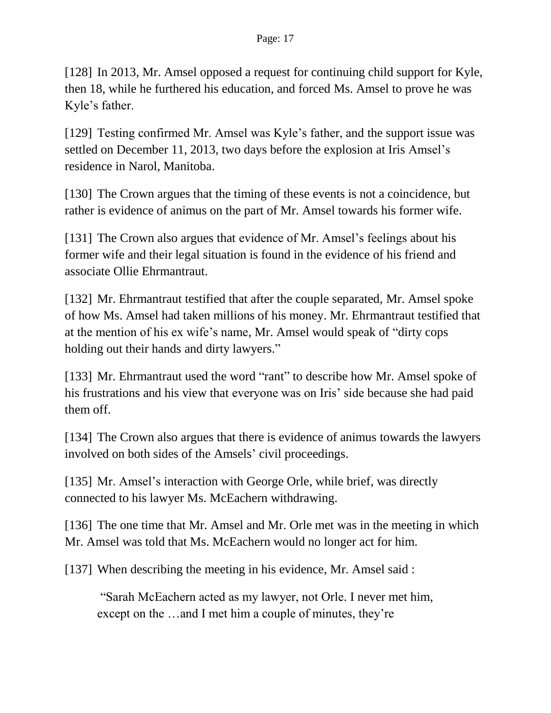[128] In 2013, Mr. Amsel opposed a request for continuing child support for Kyle, then 18, while he furthered his education, and forced Ms. Amsel to prove he was Kyle's father.

[129] Testing confirmed Mr. Amsel was Kyle's father, and the support issue was settled on December 11, 2013, two days before the explosion at Iris Amsel's residence in Narol, Manitoba.

[130] The Crown argues that the timing of these events is not a coincidence, but rather is evidence of animus on the part of Mr. Amsel towards his former wife.

[131] The Crown also argues that evidence of Mr. Amsel's feelings about his former wife and their legal situation is found in the evidence of his friend and associate Ollie Ehrmantraut.

[132] Mr. Ehrmantraut testified that after the couple separated, Mr. Amsel spoke of how Ms. Amsel had taken millions of his money. Mr. Ehrmantraut testified that at the mention of his ex wife's name, Mr. Amsel would speak of "dirty cops holding out their hands and dirty lawyers."

[133] Mr. Ehrmantraut used the word "rant" to describe how Mr. Amsel spoke of his frustrations and his view that everyone was on Iris' side because she had paid them off.

[134] The Crown also argues that there is evidence of animus towards the lawyers involved on both sides of the Amsels' civil proceedings.

[135] Mr. Amsel's interaction with George Orle, while brief, was directly connected to his lawyer Ms. McEachern withdrawing.

[136] The one time that Mr. Amsel and Mr. Orle met was in the meeting in which Mr. Amsel was told that Ms. McEachern would no longer act for him.

[137] When describing the meeting in his evidence, Mr. Amsel said :

"Sarah McEachern acted as my lawyer, not Orle. I never met him, except on the …and I met him a couple of minutes, they're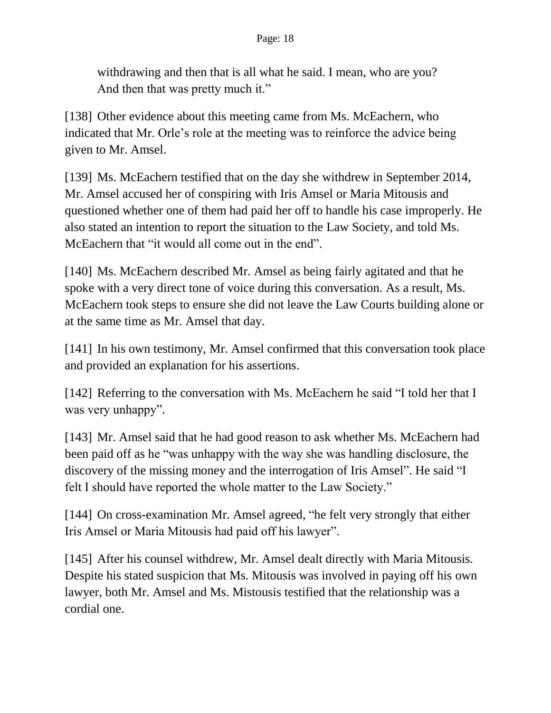withdrawing and then that is all what he said. I mean, who are you? And then that was pretty much it."

[138] Other evidence about this meeting came from Ms. McEachern, who indicated that Mr. Orle's role at the meeting was to reinforce the advice being given to Mr. Amsel.

[139] Ms. McEachern testified that on the day she withdrew in September 2014, Mr. Amsel accused her of conspiring with Iris Amsel or Maria Mitousis and questioned whether one of them had paid her off to handle his case improperly. He also stated an intention to report the situation to the Law Society, and told Ms. McEachern that "it would all come out in the end".

[140] Ms. McEachern described Mr. Amsel as being fairly agitated and that he spoke with a very direct tone of voice during this conversation. As a result, Ms. McEachern took steps to ensure she did not leave the Law Courts building alone or at the same time as Mr. Amsel that day.

[141] In his own testimony, Mr. Amsel confirmed that this conversation took place and provided an explanation for his assertions.

[142] Referring to the conversation with Ms. McEachern he said "I told her that I was very unhappy".

[143] Mr. Amsel said that he had good reason to ask whether Ms. McEachern had been paid off as he "was unhappy with the way she was handling disclosure, the discovery of the missing money and the interrogation of Iris Amsel". He said "I felt I should have reported the whole matter to the Law Society."

[144] On cross-examination Mr. Amsel agreed, "he felt very strongly that either Iris Amsel or Maria Mitousis had paid off his lawyer".

[145] After his counsel withdrew, Mr. Amsel dealt directly with Maria Mitousis. Despite his stated suspicion that Ms. Mitousis was involved in paying off his own lawyer, both Mr. Amsel and Ms. Mistousis testified that the relationship was a cordial one.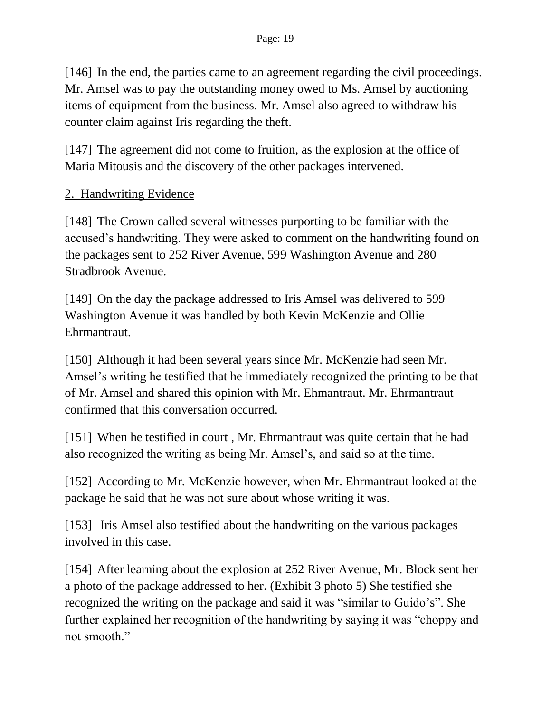[146] In the end, the parties came to an agreement regarding the civil proceedings. Mr. Amsel was to pay the outstanding money owed to Ms. Amsel by auctioning items of equipment from the business. Mr. Amsel also agreed to withdraw his counter claim against Iris regarding the theft.

[147] The agreement did not come to fruition, as the explosion at the office of Maria Mitousis and the discovery of the other packages intervened.

### 2. Handwriting Evidence

[148] The Crown called several witnesses purporting to be familiar with the accused's handwriting. They were asked to comment on the handwriting found on the packages sent to 252 River Avenue, 599 Washington Avenue and 280 Stradbrook Avenue.

[149] On the day the package addressed to Iris Amsel was delivered to 599 Washington Avenue it was handled by both Kevin McKenzie and Ollie Ehrmantraut.

[150] Although it had been several years since Mr. McKenzie had seen Mr. Amsel's writing he testified that he immediately recognized the printing to be that of Mr. Amsel and shared this opinion with Mr. Ehmantraut. Mr. Ehrmantraut confirmed that this conversation occurred.

[151] When he testified in court, Mr. Ehrmantraut was quite certain that he had also recognized the writing as being Mr. Amsel's, and said so at the time.

[152] According to Mr. McKenzie however, when Mr. Ehrmantraut looked at the package he said that he was not sure about whose writing it was.

[153] Iris Amsel also testified about the handwriting on the various packages involved in this case.

[154] After learning about the explosion at 252 River Avenue, Mr. Block sent her a photo of the package addressed to her. (Exhibit 3 photo 5) She testified she recognized the writing on the package and said it was "similar to Guido's". She further explained her recognition of the handwriting by saying it was "choppy and not smooth"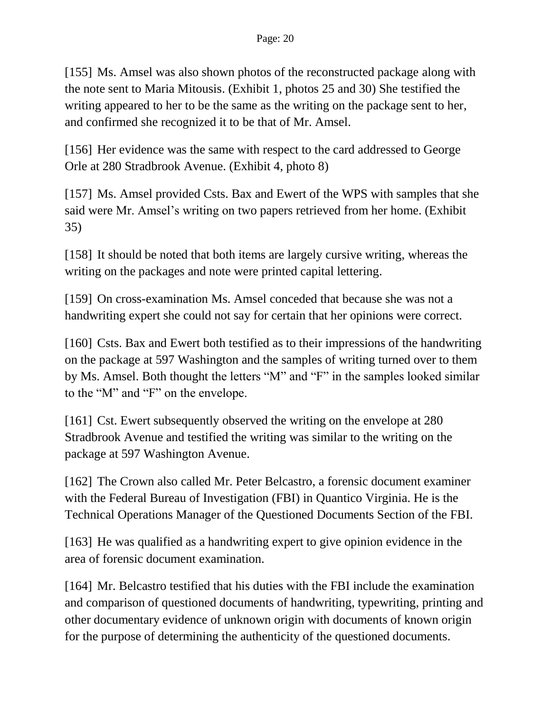[155] Ms. Amsel was also shown photos of the reconstructed package along with the note sent to Maria Mitousis. (Exhibit 1, photos 25 and 30) She testified the writing appeared to her to be the same as the writing on the package sent to her, and confirmed she recognized it to be that of Mr. Amsel.

[156] Her evidence was the same with respect to the card addressed to George Orle at 280 Stradbrook Avenue. (Exhibit 4, photo 8)

[157] Ms. Amsel provided Csts. Bax and Ewert of the WPS with samples that she said were Mr. Amsel's writing on two papers retrieved from her home. (Exhibit 35)

[158] It should be noted that both items are largely cursive writing, whereas the writing on the packages and note were printed capital lettering.

[159] On cross-examination Ms. Amsel conceded that because she was not a handwriting expert she could not say for certain that her opinions were correct.

[160] Csts. Bax and Ewert both testified as to their impressions of the handwriting on the package at 597 Washington and the samples of writing turned over to them by Ms. Amsel. Both thought the letters "M" and "F" in the samples looked similar to the "M" and "F" on the envelope.

[161] Cst. Ewert subsequently observed the writing on the envelope at 280 Stradbrook Avenue and testified the writing was similar to the writing on the package at 597 Washington Avenue.

[162] The Crown also called Mr. Peter Belcastro, a forensic document examiner with the Federal Bureau of Investigation (FBI) in Quantico Virginia. He is the Technical Operations Manager of the Questioned Documents Section of the FBI.

[163] He was qualified as a handwriting expert to give opinion evidence in the area of forensic document examination.

[164] Mr. Belcastro testified that his duties with the FBI include the examination and comparison of questioned documents of handwriting, typewriting, printing and other documentary evidence of unknown origin with documents of known origin for the purpose of determining the authenticity of the questioned documents.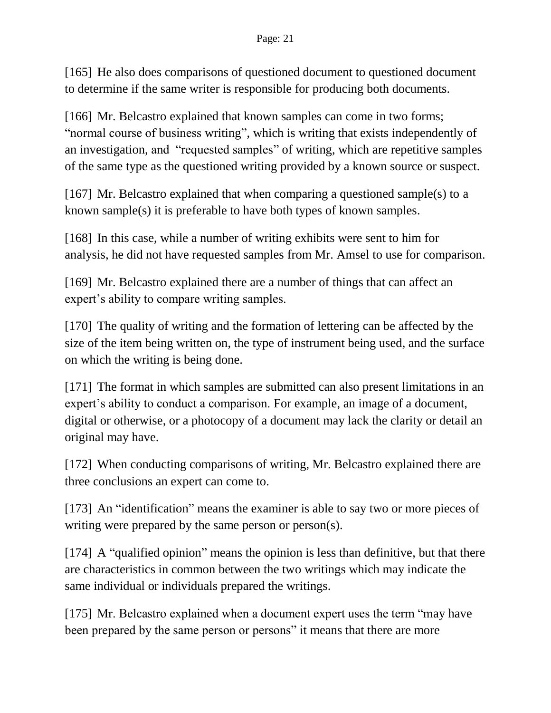[165] He also does comparisons of questioned document to questioned document to determine if the same writer is responsible for producing both documents.

[166] Mr. Belcastro explained that known samples can come in two forms; "normal course of business writing", which is writing that exists independently of an investigation, and "requested samples" of writing, which are repetitive samples of the same type as the questioned writing provided by a known source or suspect.

[167] Mr. Belcastro explained that when comparing a questioned sample(s) to a known sample(s) it is preferable to have both types of known samples.

[168] In this case, while a number of writing exhibits were sent to him for analysis, he did not have requested samples from Mr. Amsel to use for comparison.

[169] Mr. Belcastro explained there are a number of things that can affect an expert's ability to compare writing samples.

[170] The quality of writing and the formation of lettering can be affected by the size of the item being written on, the type of instrument being used, and the surface on which the writing is being done.

[171] The format in which samples are submitted can also present limitations in an expert's ability to conduct a comparison. For example, an image of a document, digital or otherwise, or a photocopy of a document may lack the clarity or detail an original may have.

[172] When conducting comparisons of writing, Mr. Belcastro explained there are three conclusions an expert can come to.

[173] An "identification" means the examiner is able to say two or more pieces of writing were prepared by the same person or person(s).

[174] A "qualified opinion" means the opinion is less than definitive, but that there are characteristics in common between the two writings which may indicate the same individual or individuals prepared the writings.

[175] Mr. Belcastro explained when a document expert uses the term "may have been prepared by the same person or persons" it means that there are more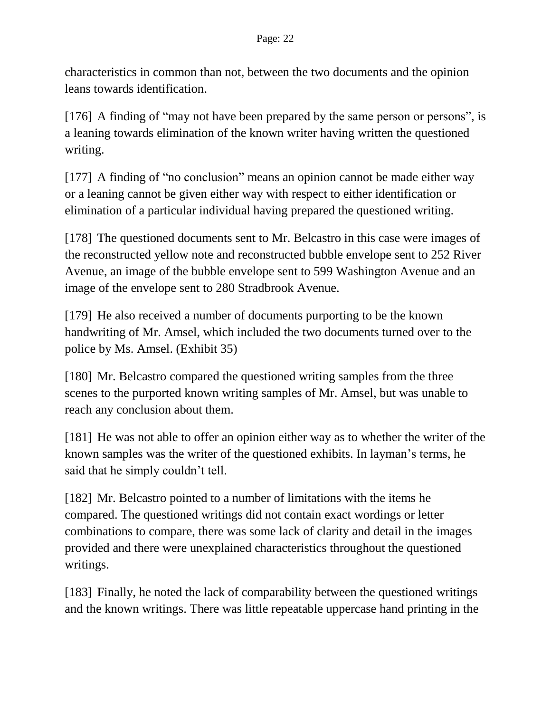characteristics in common than not, between the two documents and the opinion leans towards identification.

[176] A finding of "may not have been prepared by the same person or persons", is a leaning towards elimination of the known writer having written the questioned writing.

[177] A finding of "no conclusion" means an opinion cannot be made either way or a leaning cannot be given either way with respect to either identification or elimination of a particular individual having prepared the questioned writing.

[178] The questioned documents sent to Mr. Belcastro in this case were images of the reconstructed yellow note and reconstructed bubble envelope sent to 252 River Avenue, an image of the bubble envelope sent to 599 Washington Avenue and an image of the envelope sent to 280 Stradbrook Avenue.

[179] He also received a number of documents purporting to be the known handwriting of Mr. Amsel, which included the two documents turned over to the police by Ms. Amsel. (Exhibit 35)

[180] Mr. Belcastro compared the questioned writing samples from the three scenes to the purported known writing samples of Mr. Amsel, but was unable to reach any conclusion about them.

[181] He was not able to offer an opinion either way as to whether the writer of the known samples was the writer of the questioned exhibits. In layman's terms, he said that he simply couldn't tell.

[182] Mr. Belcastro pointed to a number of limitations with the items he compared. The questioned writings did not contain exact wordings or letter combinations to compare, there was some lack of clarity and detail in the images provided and there were unexplained characteristics throughout the questioned writings.

[183] Finally, he noted the lack of comparability between the questioned writings and the known writings. There was little repeatable uppercase hand printing in the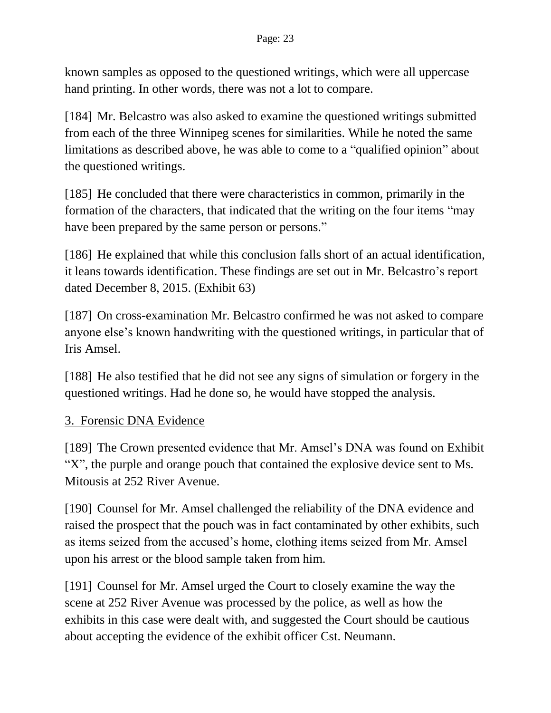known samples as opposed to the questioned writings, which were all uppercase hand printing. In other words, there was not a lot to compare.

[184] Mr. Belcastro was also asked to examine the questioned writings submitted from each of the three Winnipeg scenes for similarities. While he noted the same limitations as described above, he was able to come to a "qualified opinion" about the questioned writings.

[185] He concluded that there were characteristics in common, primarily in the formation of the characters, that indicated that the writing on the four items "may have been prepared by the same person or persons."

[186] He explained that while this conclusion falls short of an actual identification, it leans towards identification. These findings are set out in Mr. Belcastro's report dated December 8, 2015. (Exhibit 63)

[187] On cross-examination Mr. Belcastro confirmed he was not asked to compare anyone else's known handwriting with the questioned writings, in particular that of Iris Amsel.

[188] He also testified that he did not see any signs of simulation or forgery in the questioned writings. Had he done so, he would have stopped the analysis.

# 3. Forensic DNA Evidence

[189] The Crown presented evidence that Mr. Amsel's DNA was found on Exhibit "X", the purple and orange pouch that contained the explosive device sent to Ms. Mitousis at 252 River Avenue.

[190] Counsel for Mr. Amsel challenged the reliability of the DNA evidence and raised the prospect that the pouch was in fact contaminated by other exhibits, such as items seized from the accused's home, clothing items seized from Mr. Amsel upon his arrest or the blood sample taken from him.

[191] Counsel for Mr. Amsel urged the Court to closely examine the way the scene at 252 River Avenue was processed by the police, as well as how the exhibits in this case were dealt with, and suggested the Court should be cautious about accepting the evidence of the exhibit officer Cst. Neumann.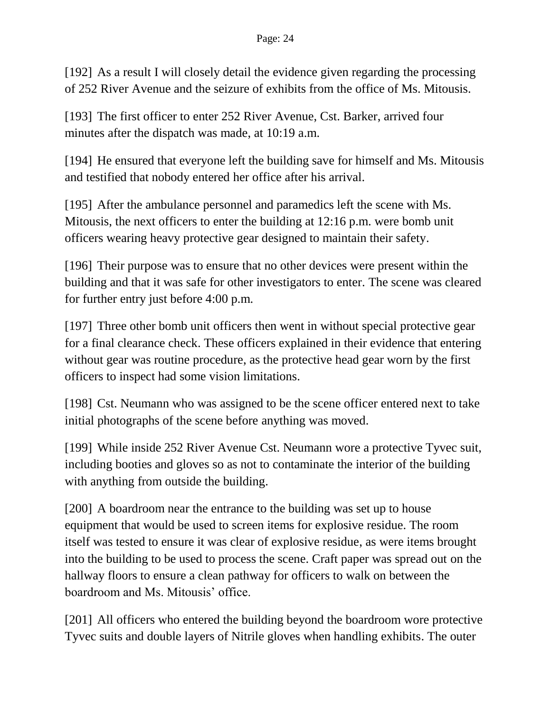[192] As a result I will closely detail the evidence given regarding the processing of 252 River Avenue and the seizure of exhibits from the office of Ms. Mitousis.

[193] The first officer to enter 252 River Avenue, Cst. Barker, arrived four minutes after the dispatch was made, at 10:19 a.m.

[194] He ensured that everyone left the building save for himself and Ms. Mitousis and testified that nobody entered her office after his arrival.

[195] After the ambulance personnel and paramedics left the scene with Ms. Mitousis, the next officers to enter the building at 12:16 p.m. were bomb unit officers wearing heavy protective gear designed to maintain their safety.

[196] Their purpose was to ensure that no other devices were present within the building and that it was safe for other investigators to enter. The scene was cleared for further entry just before 4:00 p.m.

[197] Three other bomb unit officers then went in without special protective gear for a final clearance check. These officers explained in their evidence that entering without gear was routine procedure, as the protective head gear worn by the first officers to inspect had some vision limitations.

[198] Cst. Neumann who was assigned to be the scene officer entered next to take initial photographs of the scene before anything was moved.

[199] While inside 252 River Avenue Cst. Neumann wore a protective Tyvec suit, including booties and gloves so as not to contaminate the interior of the building with anything from outside the building.

[200] A boardroom near the entrance to the building was set up to house equipment that would be used to screen items for explosive residue. The room itself was tested to ensure it was clear of explosive residue, as were items brought into the building to be used to process the scene. Craft paper was spread out on the hallway floors to ensure a clean pathway for officers to walk on between the boardroom and Ms. Mitousis' office.

[201] All officers who entered the building beyond the boardroom wore protective Tyvec suits and double layers of Nitrile gloves when handling exhibits. The outer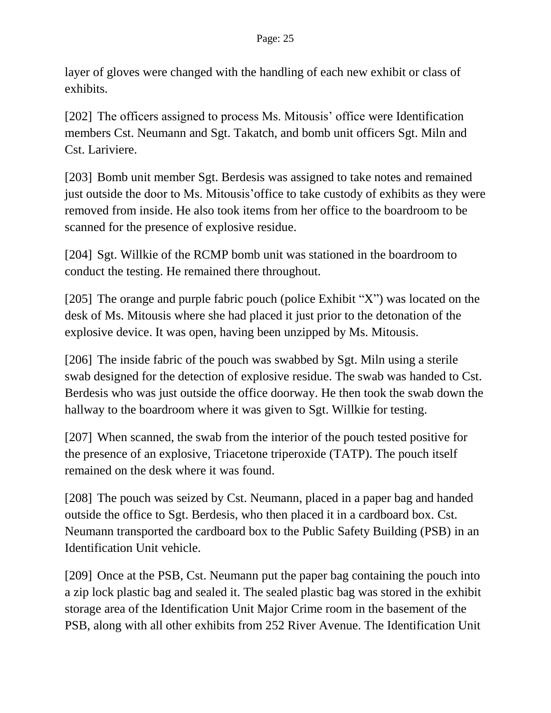layer of gloves were changed with the handling of each new exhibit or class of exhibits.

[202] The officers assigned to process Ms. Mitousis' office were Identification members Cst. Neumann and Sgt. Takatch, and bomb unit officers Sgt. Miln and Cst. Lariviere.

[203] Bomb unit member Sgt. Berdesis was assigned to take notes and remained just outside the door to Ms. Mitousis'office to take custody of exhibits as they were removed from inside. He also took items from her office to the boardroom to be scanned for the presence of explosive residue.

[204] Sgt. Willkie of the RCMP bomb unit was stationed in the boardroom to conduct the testing. He remained there throughout.

[205] The orange and purple fabric pouch (police Exhibit "X") was located on the desk of Ms. Mitousis where she had placed it just prior to the detonation of the explosive device. It was open, having been unzipped by Ms. Mitousis.

[206] The inside fabric of the pouch was swabbed by Sgt. Miln using a sterile swab designed for the detection of explosive residue. The swab was handed to Cst. Berdesis who was just outside the office doorway. He then took the swab down the hallway to the boardroom where it was given to Sgt. Willkie for testing.

[207] When scanned, the swab from the interior of the pouch tested positive for the presence of an explosive, Triacetone triperoxide (TATP). The pouch itself remained on the desk where it was found.

[208] The pouch was seized by Cst. Neumann, placed in a paper bag and handed outside the office to Sgt. Berdesis, who then placed it in a cardboard box. Cst. Neumann transported the cardboard box to the Public Safety Building (PSB) in an Identification Unit vehicle.

[209] Once at the PSB, Cst. Neumann put the paper bag containing the pouch into a zip lock plastic bag and sealed it. The sealed plastic bag was stored in the exhibit storage area of the Identification Unit Major Crime room in the basement of the PSB, along with all other exhibits from 252 River Avenue. The Identification Unit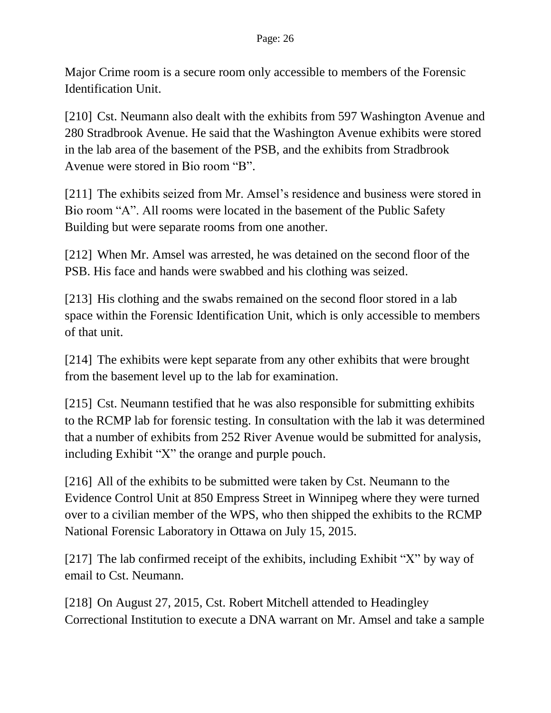Major Crime room is a secure room only accessible to members of the Forensic Identification Unit.

[210] Cst. Neumann also dealt with the exhibits from 597 Washington Avenue and 280 Stradbrook Avenue. He said that the Washington Avenue exhibits were stored in the lab area of the basement of the PSB, and the exhibits from Stradbrook Avenue were stored in Bio room "B".

[211] The exhibits seized from Mr. Amsel's residence and business were stored in Bio room "A". All rooms were located in the basement of the Public Safety Building but were separate rooms from one another.

[212] When Mr. Amsel was arrested, he was detained on the second floor of the PSB. His face and hands were swabbed and his clothing was seized.

[213] His clothing and the swabs remained on the second floor stored in a lab space within the Forensic Identification Unit, which is only accessible to members of that unit.

[214] The exhibits were kept separate from any other exhibits that were brought from the basement level up to the lab for examination.

[215] Cst. Neumann testified that he was also responsible for submitting exhibits to the RCMP lab for forensic testing. In consultation with the lab it was determined that a number of exhibits from 252 River Avenue would be submitted for analysis, including Exhibit "X" the orange and purple pouch.

[216] All of the exhibits to be submitted were taken by Cst. Neumann to the Evidence Control Unit at 850 Empress Street in Winnipeg where they were turned over to a civilian member of the WPS, who then shipped the exhibits to the RCMP National Forensic Laboratory in Ottawa on July 15, 2015.

[217] The lab confirmed receipt of the exhibits, including Exhibit "X" by way of email to Cst. Neumann.

[218] On August 27, 2015, Cst. Robert Mitchell attended to Headingley Correctional Institution to execute a DNA warrant on Mr. Amsel and take a sample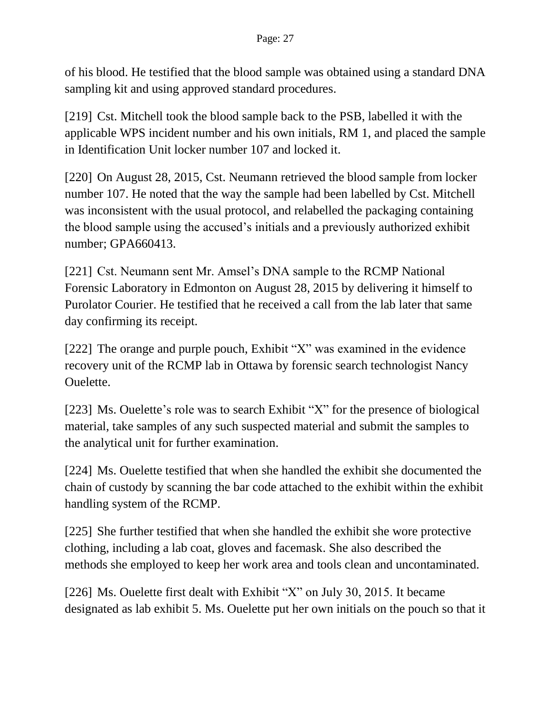of his blood. He testified that the blood sample was obtained using a standard DNA sampling kit and using approved standard procedures.

[219] Cst. Mitchell took the blood sample back to the PSB, labelled it with the applicable WPS incident number and his own initials, RM 1, and placed the sample in Identification Unit locker number 107 and locked it.

[220] On August 28, 2015, Cst. Neumann retrieved the blood sample from locker number 107. He noted that the way the sample had been labelled by Cst. Mitchell was inconsistent with the usual protocol, and relabelled the packaging containing the blood sample using the accused's initials and a previously authorized exhibit number; GPA660413.

[221] Cst. Neumann sent Mr. Amsel's DNA sample to the RCMP National Forensic Laboratory in Edmonton on August 28, 2015 by delivering it himself to Purolator Courier. He testified that he received a call from the lab later that same day confirming its receipt.

[222] The orange and purple pouch, Exhibit "X" was examined in the evidence recovery unit of the RCMP lab in Ottawa by forensic search technologist Nancy Ouelette.

[223] Ms. Ouelette's role was to search Exhibit "X" for the presence of biological material, take samples of any such suspected material and submit the samples to the analytical unit for further examination.

[224] Ms. Ouelette testified that when she handled the exhibit she documented the chain of custody by scanning the bar code attached to the exhibit within the exhibit handling system of the RCMP.

[225] She further testified that when she handled the exhibit she wore protective clothing, including a lab coat, gloves and facemask. She also described the methods she employed to keep her work area and tools clean and uncontaminated.

[226] Ms. Ouelette first dealt with Exhibit "X" on July 30, 2015. It became designated as lab exhibit 5. Ms. Ouelette put her own initials on the pouch so that it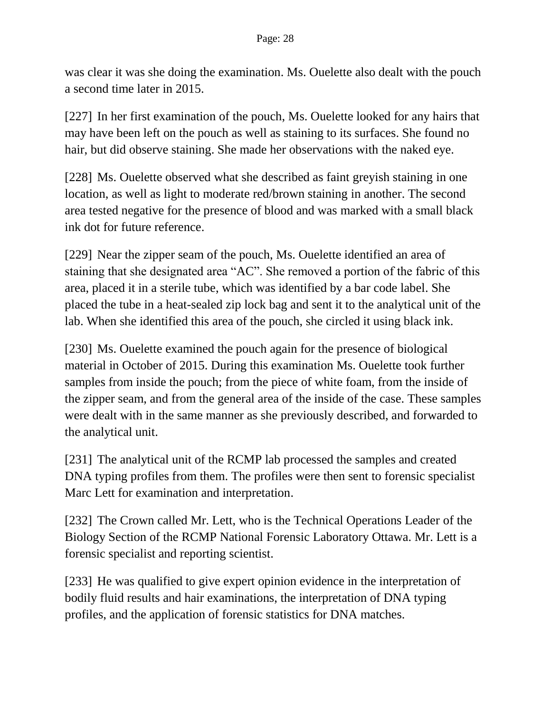was clear it was she doing the examination. Ms. Ouelette also dealt with the pouch a second time later in 2015.

[227] In her first examination of the pouch, Ms. Ouelette looked for any hairs that may have been left on the pouch as well as staining to its surfaces. She found no hair, but did observe staining. She made her observations with the naked eye.

[228] Ms. Ouelette observed what she described as faint greyish staining in one location, as well as light to moderate red/brown staining in another. The second area tested negative for the presence of blood and was marked with a small black ink dot for future reference.

[229] Near the zipper seam of the pouch, Ms. Ouelette identified an area of staining that she designated area "AC". She removed a portion of the fabric of this area, placed it in a sterile tube, which was identified by a bar code label. She placed the tube in a heat-sealed zip lock bag and sent it to the analytical unit of the lab. When she identified this area of the pouch, she circled it using black ink.

[230] Ms. Ouelette examined the pouch again for the presence of biological material in October of 2015. During this examination Ms. Ouelette took further samples from inside the pouch; from the piece of white foam, from the inside of the zipper seam, and from the general area of the inside of the case. These samples were dealt with in the same manner as she previously described, and forwarded to the analytical unit.

[231] The analytical unit of the RCMP lab processed the samples and created DNA typing profiles from them. The profiles were then sent to forensic specialist Marc Lett for examination and interpretation.

[232] The Crown called Mr. Lett, who is the Technical Operations Leader of the Biology Section of the RCMP National Forensic Laboratory Ottawa. Mr. Lett is a forensic specialist and reporting scientist.

[233] He was qualified to give expert opinion evidence in the interpretation of bodily fluid results and hair examinations, the interpretation of DNA typing profiles, and the application of forensic statistics for DNA matches.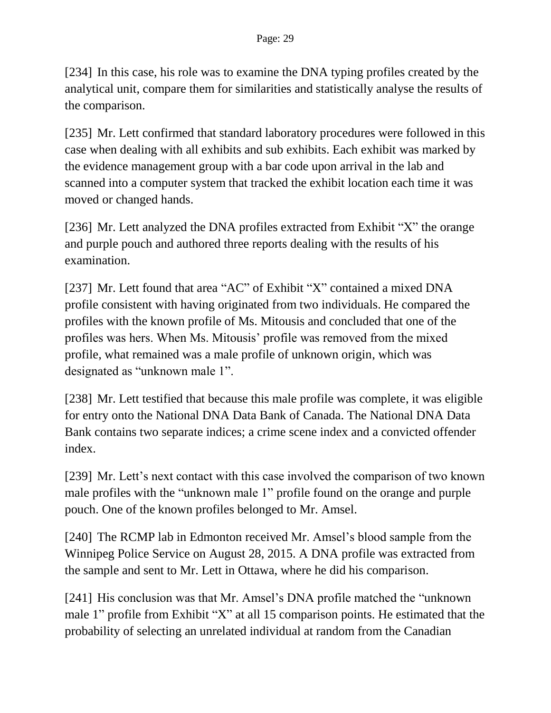[234] In this case, his role was to examine the DNA typing profiles created by the analytical unit, compare them for similarities and statistically analyse the results of the comparison.

[235] Mr. Lett confirmed that standard laboratory procedures were followed in this case when dealing with all exhibits and sub exhibits. Each exhibit was marked by the evidence management group with a bar code upon arrival in the lab and scanned into a computer system that tracked the exhibit location each time it was moved or changed hands.

[236] Mr. Lett analyzed the DNA profiles extracted from Exhibit "X" the orange and purple pouch and authored three reports dealing with the results of his examination.

[237] Mr. Lett found that area "AC" of Exhibit "X" contained a mixed DNA profile consistent with having originated from two individuals. He compared the profiles with the known profile of Ms. Mitousis and concluded that one of the profiles was hers. When Ms. Mitousis' profile was removed from the mixed profile, what remained was a male profile of unknown origin, which was designated as "unknown male 1".

[238] Mr. Lett testified that because this male profile was complete, it was eligible for entry onto the National DNA Data Bank of Canada. The National DNA Data Bank contains two separate indices; a crime scene index and a convicted offender index.

[239] Mr. Lett's next contact with this case involved the comparison of two known male profiles with the "unknown male 1" profile found on the orange and purple pouch. One of the known profiles belonged to Mr. Amsel.

[240] The RCMP lab in Edmonton received Mr. Amsel's blood sample from the Winnipeg Police Service on August 28, 2015. A DNA profile was extracted from the sample and sent to Mr. Lett in Ottawa, where he did his comparison.

[241] His conclusion was that Mr. Amsel's DNA profile matched the "unknown male 1" profile from Exhibit "X" at all 15 comparison points. He estimated that the probability of selecting an unrelated individual at random from the Canadian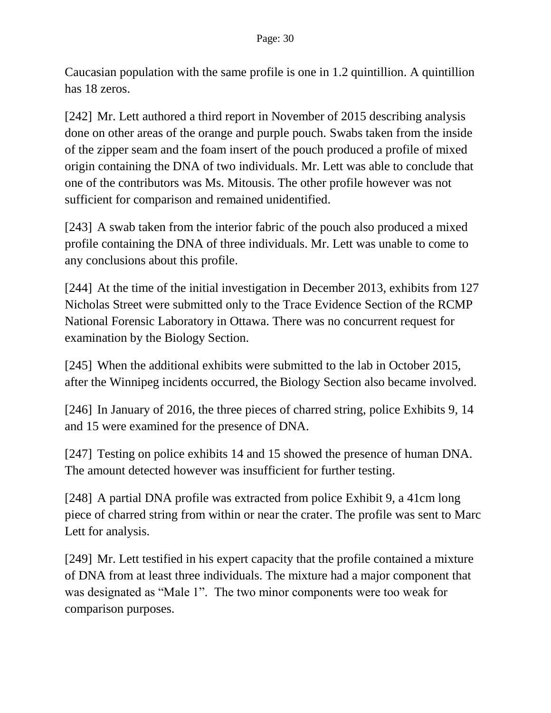Caucasian population with the same profile is one in 1.2 quintillion. A quintillion has 18 zeros.

[242] Mr. Lett authored a third report in November of 2015 describing analysis done on other areas of the orange and purple pouch. Swabs taken from the inside of the zipper seam and the foam insert of the pouch produced a profile of mixed origin containing the DNA of two individuals. Mr. Lett was able to conclude that one of the contributors was Ms. Mitousis. The other profile however was not sufficient for comparison and remained unidentified.

[243] A swab taken from the interior fabric of the pouch also produced a mixed profile containing the DNA of three individuals. Mr. Lett was unable to come to any conclusions about this profile.

[244] At the time of the initial investigation in December 2013, exhibits from 127 Nicholas Street were submitted only to the Trace Evidence Section of the RCMP National Forensic Laboratory in Ottawa. There was no concurrent request for examination by the Biology Section.

[245] When the additional exhibits were submitted to the lab in October 2015, after the Winnipeg incidents occurred, the Biology Section also became involved.

[246] In January of 2016, the three pieces of charred string, police Exhibits 9, 14 and 15 were examined for the presence of DNA.

[247] Testing on police exhibits 14 and 15 showed the presence of human DNA. The amount detected however was insufficient for further testing.

[248] A partial DNA profile was extracted from police Exhibit 9, a 41cm long piece of charred string from within or near the crater. The profile was sent to Marc Lett for analysis.

[249] Mr. Lett testified in his expert capacity that the profile contained a mixture of DNA from at least three individuals. The mixture had a major component that was designated as "Male 1". The two minor components were too weak for comparison purposes.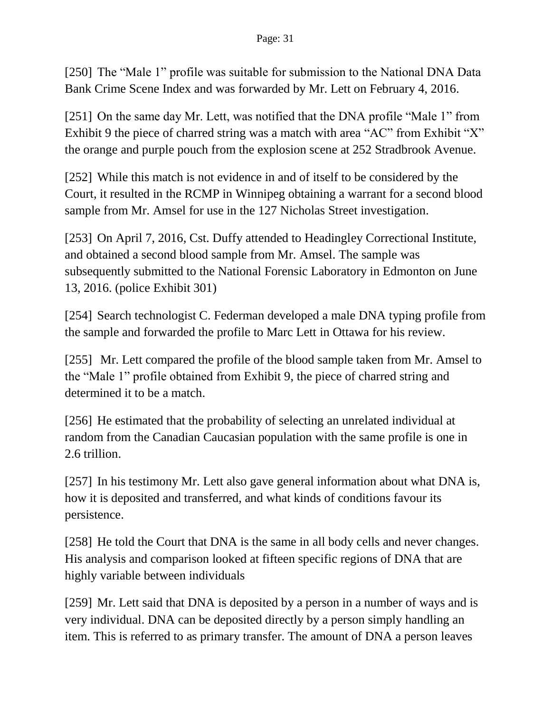[250] The "Male 1" profile was suitable for submission to the National DNA Data Bank Crime Scene Index and was forwarded by Mr. Lett on February 4, 2016.

[251] On the same day Mr. Lett, was notified that the DNA profile "Male 1" from Exhibit 9 the piece of charred string was a match with area "AC" from Exhibit "X" the orange and purple pouch from the explosion scene at 252 Stradbrook Avenue.

[252] While this match is not evidence in and of itself to be considered by the Court, it resulted in the RCMP in Winnipeg obtaining a warrant for a second blood sample from Mr. Amsel for use in the 127 Nicholas Street investigation.

[253] On April 7, 2016, Cst. Duffy attended to Headingley Correctional Institute, and obtained a second blood sample from Mr. Amsel. The sample was subsequently submitted to the National Forensic Laboratory in Edmonton on June 13, 2016. (police Exhibit 301)

[254] Search technologist C. Federman developed a male DNA typing profile from the sample and forwarded the profile to Marc Lett in Ottawa for his review.

[255] Mr. Lett compared the profile of the blood sample taken from Mr. Amsel to the "Male 1" profile obtained from Exhibit 9, the piece of charred string and determined it to be a match.

[256] He estimated that the probability of selecting an unrelated individual at random from the Canadian Caucasian population with the same profile is one in 2.6 trillion.

[257] In his testimony Mr. Lett also gave general information about what DNA is, how it is deposited and transferred, and what kinds of conditions favour its persistence.

[258] He told the Court that DNA is the same in all body cells and never changes. His analysis and comparison looked at fifteen specific regions of DNA that are highly variable between individuals

[259] Mr. Lett said that DNA is deposited by a person in a number of ways and is very individual. DNA can be deposited directly by a person simply handling an item. This is referred to as primary transfer. The amount of DNA a person leaves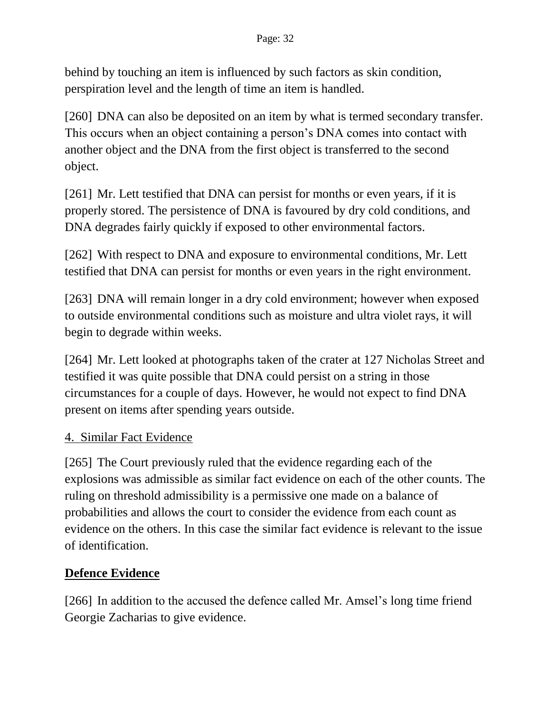behind by touching an item is influenced by such factors as skin condition, perspiration level and the length of time an item is handled.

[260] DNA can also be deposited on an item by what is termed secondary transfer. This occurs when an object containing a person's DNA comes into contact with another object and the DNA from the first object is transferred to the second object.

[261] Mr. Lett testified that DNA can persist for months or even years, if it is properly stored. The persistence of DNA is favoured by dry cold conditions, and DNA degrades fairly quickly if exposed to other environmental factors.

[262] With respect to DNA and exposure to environmental conditions, Mr. Lett testified that DNA can persist for months or even years in the right environment.

[263] DNA will remain longer in a dry cold environment; however when exposed to outside environmental conditions such as moisture and ultra violet rays, it will begin to degrade within weeks.

[264] Mr. Lett looked at photographs taken of the crater at 127 Nicholas Street and testified it was quite possible that DNA could persist on a string in those circumstances for a couple of days. However, he would not expect to find DNA present on items after spending years outside.

# 4. Similar Fact Evidence

[265] The Court previously ruled that the evidence regarding each of the explosions was admissible as similar fact evidence on each of the other counts. The ruling on threshold admissibility is a permissive one made on a balance of probabilities and allows the court to consider the evidence from each count as evidence on the others. In this case the similar fact evidence is relevant to the issue of identification.

# **Defence Evidence**

[266] In addition to the accused the defence called Mr. Amsel's long time friend Georgie Zacharias to give evidence.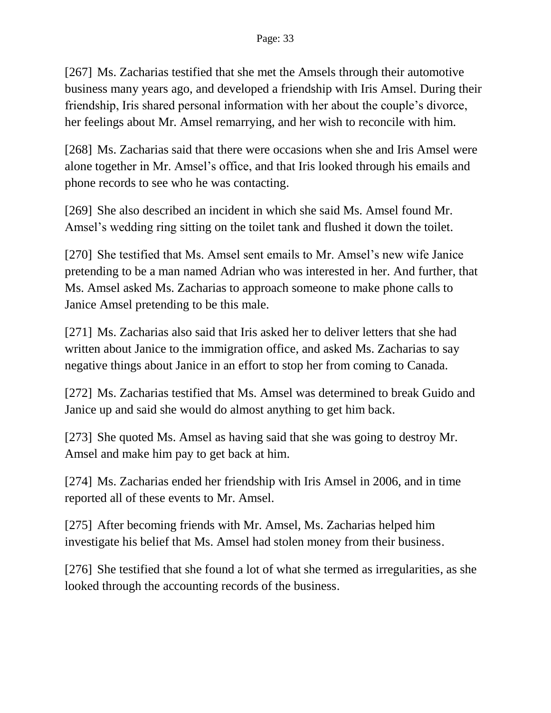[267] Ms. Zacharias testified that she met the Amsels through their automotive business many years ago, and developed a friendship with Iris Amsel. During their friendship, Iris shared personal information with her about the couple's divorce, her feelings about Mr. Amsel remarrying, and her wish to reconcile with him.

[268] Ms. Zacharias said that there were occasions when she and Iris Amsel were alone together in Mr. Amsel's office, and that Iris looked through his emails and phone records to see who he was contacting.

[269] She also described an incident in which she said Ms. Amsel found Mr. Amsel's wedding ring sitting on the toilet tank and flushed it down the toilet.

[270] She testified that Ms. Amsel sent emails to Mr. Amsel's new wife Janice pretending to be a man named Adrian who was interested in her. And further, that Ms. Amsel asked Ms. Zacharias to approach someone to make phone calls to Janice Amsel pretending to be this male.

[271] Ms. Zacharias also said that Iris asked her to deliver letters that she had written about Janice to the immigration office, and asked Ms. Zacharias to say negative things about Janice in an effort to stop her from coming to Canada.

[272] Ms. Zacharias testified that Ms. Amsel was determined to break Guido and Janice up and said she would do almost anything to get him back.

[273] She quoted Ms. Amsel as having said that she was going to destroy Mr. Amsel and make him pay to get back at him.

[274] Ms. Zacharias ended her friendship with Iris Amsel in 2006, and in time reported all of these events to Mr. Amsel.

[275] After becoming friends with Mr. Amsel, Ms. Zacharias helped him investigate his belief that Ms. Amsel had stolen money from their business.

[276] She testified that she found a lot of what she termed as irregularities, as she looked through the accounting records of the business.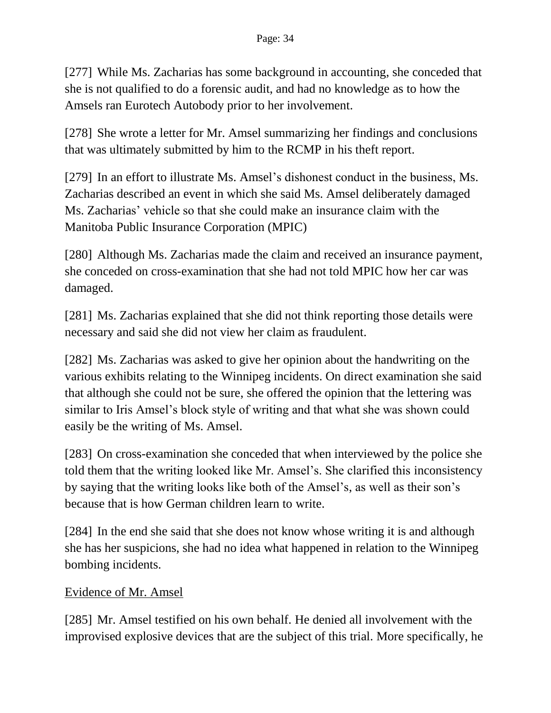[277] While Ms. Zacharias has some background in accounting, she conceded that she is not qualified to do a forensic audit, and had no knowledge as to how the Amsels ran Eurotech Autobody prior to her involvement.

[278] She wrote a letter for Mr. Amsel summarizing her findings and conclusions that was ultimately submitted by him to the RCMP in his theft report.

[279] In an effort to illustrate Ms. Amsel's dishonest conduct in the business, Ms. Zacharias described an event in which she said Ms. Amsel deliberately damaged Ms. Zacharias' vehicle so that she could make an insurance claim with the Manitoba Public Insurance Corporation (MPIC)

[280] Although Ms. Zacharias made the claim and received an insurance payment, she conceded on cross-examination that she had not told MPIC how her car was damaged.

[281] Ms. Zacharias explained that she did not think reporting those details were necessary and said she did not view her claim as fraudulent.

[282] Ms. Zacharias was asked to give her opinion about the handwriting on the various exhibits relating to the Winnipeg incidents. On direct examination she said that although she could not be sure, she offered the opinion that the lettering was similar to Iris Amsel's block style of writing and that what she was shown could easily be the writing of Ms. Amsel.

[283] On cross-examination she conceded that when interviewed by the police she told them that the writing looked like Mr. Amsel's. She clarified this inconsistency by saying that the writing looks like both of the Amsel's, as well as their son's because that is how German children learn to write.

[284] In the end she said that she does not know whose writing it is and although she has her suspicions, she had no idea what happened in relation to the Winnipeg bombing incidents.

### Evidence of Mr. Amsel

[285] Mr. Amsel testified on his own behalf. He denied all involvement with the improvised explosive devices that are the subject of this trial. More specifically, he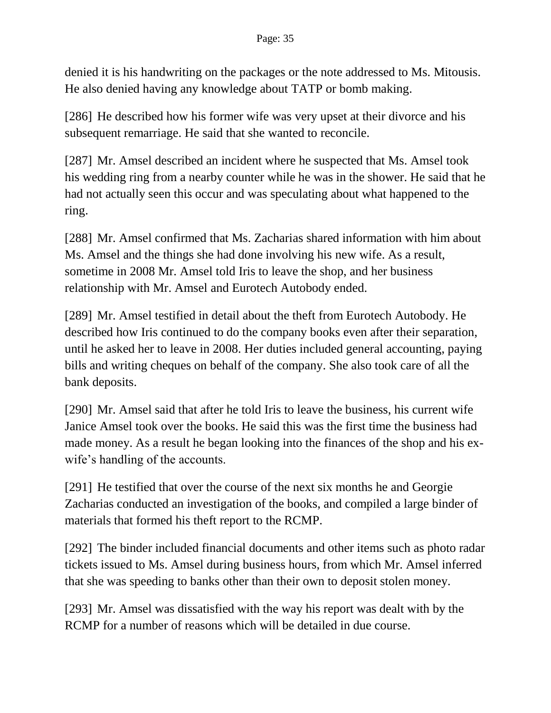denied it is his handwriting on the packages or the note addressed to Ms. Mitousis. He also denied having any knowledge about TATP or bomb making.

[286] He described how his former wife was very upset at their divorce and his subsequent remarriage. He said that she wanted to reconcile.

[287] Mr. Amsel described an incident where he suspected that Ms. Amsel took his wedding ring from a nearby counter while he was in the shower. He said that he had not actually seen this occur and was speculating about what happened to the ring.

[288] Mr. Amsel confirmed that Ms. Zacharias shared information with him about Ms. Amsel and the things she had done involving his new wife. As a result, sometime in 2008 Mr. Amsel told Iris to leave the shop, and her business relationship with Mr. Amsel and Eurotech Autobody ended.

[289] Mr. Amsel testified in detail about the theft from Eurotech Autobody. He described how Iris continued to do the company books even after their separation, until he asked her to leave in 2008. Her duties included general accounting, paying bills and writing cheques on behalf of the company. She also took care of all the bank deposits.

[290] Mr. Amsel said that after he told Iris to leave the business, his current wife Janice Amsel took over the books. He said this was the first time the business had made money. As a result he began looking into the finances of the shop and his exwife's handling of the accounts.

[291] He testified that over the course of the next six months he and Georgie Zacharias conducted an investigation of the books, and compiled a large binder of materials that formed his theft report to the RCMP.

[292] The binder included financial documents and other items such as photo radar tickets issued to Ms. Amsel during business hours, from which Mr. Amsel inferred that she was speeding to banks other than their own to deposit stolen money.

[293] Mr. Amsel was dissatisfied with the way his report was dealt with by the RCMP for a number of reasons which will be detailed in due course.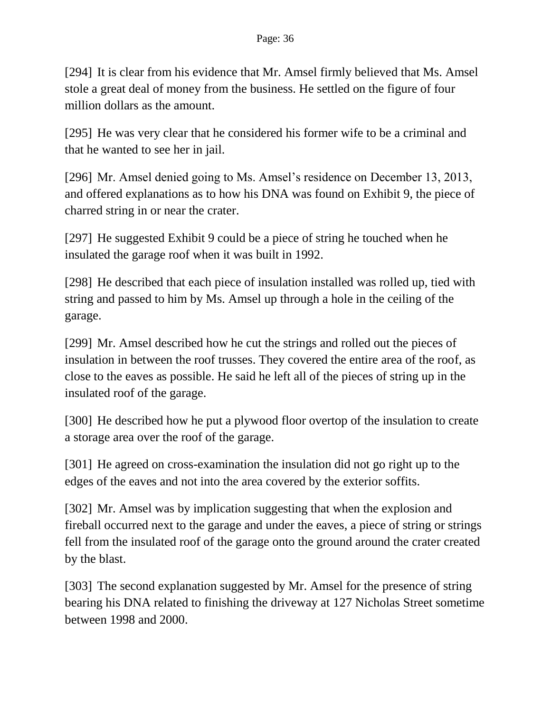[294] It is clear from his evidence that Mr. Amsel firmly believed that Ms. Amsel stole a great deal of money from the business. He settled on the figure of four million dollars as the amount.

[295] He was very clear that he considered his former wife to be a criminal and that he wanted to see her in jail.

[296] Mr. Amsel denied going to Ms. Amsel's residence on December 13, 2013, and offered explanations as to how his DNA was found on Exhibit 9, the piece of charred string in or near the crater.

[297] He suggested Exhibit 9 could be a piece of string he touched when he insulated the garage roof when it was built in 1992.

[298] He described that each piece of insulation installed was rolled up, tied with string and passed to him by Ms. Amsel up through a hole in the ceiling of the garage.

[299] Mr. Amsel described how he cut the strings and rolled out the pieces of insulation in between the roof trusses. They covered the entire area of the roof, as close to the eaves as possible. He said he left all of the pieces of string up in the insulated roof of the garage.

[300] He described how he put a plywood floor overtop of the insulation to create a storage area over the roof of the garage.

[301] He agreed on cross-examination the insulation did not go right up to the edges of the eaves and not into the area covered by the exterior soffits.

[302] Mr. Amsel was by implication suggesting that when the explosion and fireball occurred next to the garage and under the eaves, a piece of string or strings fell from the insulated roof of the garage onto the ground around the crater created by the blast.

[303] The second explanation suggested by Mr. Amsel for the presence of string bearing his DNA related to finishing the driveway at 127 Nicholas Street sometime between 1998 and 2000.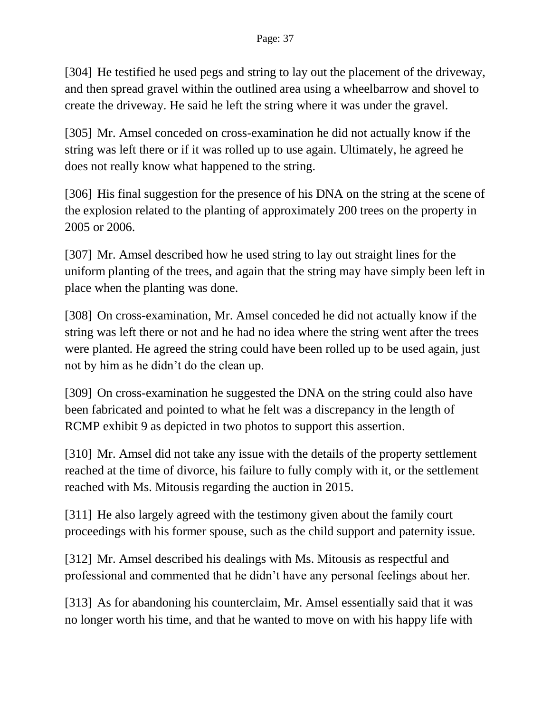[304] He testified he used pegs and string to lay out the placement of the driveway, and then spread gravel within the outlined area using a wheelbarrow and shovel to create the driveway. He said he left the string where it was under the gravel.

[305] Mr. Amsel conceded on cross-examination he did not actually know if the string was left there or if it was rolled up to use again. Ultimately, he agreed he does not really know what happened to the string.

[306] His final suggestion for the presence of his DNA on the string at the scene of the explosion related to the planting of approximately 200 trees on the property in 2005 or 2006.

[307] Mr. Amsel described how he used string to lay out straight lines for the uniform planting of the trees, and again that the string may have simply been left in place when the planting was done.

[308] On cross-examination, Mr. Amsel conceded he did not actually know if the string was left there or not and he had no idea where the string went after the trees were planted. He agreed the string could have been rolled up to be used again, just not by him as he didn't do the clean up.

[309] On cross-examination he suggested the DNA on the string could also have been fabricated and pointed to what he felt was a discrepancy in the length of RCMP exhibit 9 as depicted in two photos to support this assertion.

[310] Mr. Amsel did not take any issue with the details of the property settlement reached at the time of divorce, his failure to fully comply with it, or the settlement reached with Ms. Mitousis regarding the auction in 2015.

[311] He also largely agreed with the testimony given about the family court proceedings with his former spouse, such as the child support and paternity issue.

[312] Mr. Amsel described his dealings with Ms. Mitousis as respectful and professional and commented that he didn't have any personal feelings about her.

[313] As for abandoning his counterclaim, Mr. Amsel essentially said that it was no longer worth his time, and that he wanted to move on with his happy life with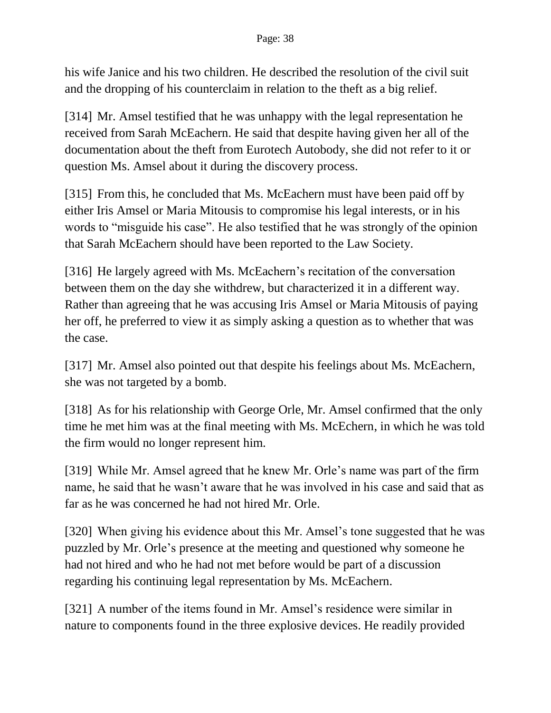his wife Janice and his two children. He described the resolution of the civil suit and the dropping of his counterclaim in relation to the theft as a big relief.

[314] Mr. Amsel testified that he was unhappy with the legal representation he received from Sarah McEachern. He said that despite having given her all of the documentation about the theft from Eurotech Autobody, she did not refer to it or question Ms. Amsel about it during the discovery process.

[315] From this, he concluded that Ms. McEachern must have been paid off by either Iris Amsel or Maria Mitousis to compromise his legal interests, or in his words to "misguide his case". He also testified that he was strongly of the opinion that Sarah McEachern should have been reported to the Law Society.

[316] He largely agreed with Ms. McEachern's recitation of the conversation between them on the day she withdrew, but characterized it in a different way. Rather than agreeing that he was accusing Iris Amsel or Maria Mitousis of paying her off, he preferred to view it as simply asking a question as to whether that was the case.

[317] Mr. Amsel also pointed out that despite his feelings about Ms. McEachern, she was not targeted by a bomb.

[318] As for his relationship with George Orle, Mr. Amsel confirmed that the only time he met him was at the final meeting with Ms. McEchern, in which he was told the firm would no longer represent him.

[319] While Mr. Amsel agreed that he knew Mr. Orle's name was part of the firm name, he said that he wasn't aware that he was involved in his case and said that as far as he was concerned he had not hired Mr. Orle.

[320] When giving his evidence about this Mr. Amsel's tone suggested that he was puzzled by Mr. Orle's presence at the meeting and questioned why someone he had not hired and who he had not met before would be part of a discussion regarding his continuing legal representation by Ms. McEachern.

[321] A number of the items found in Mr. Amsel's residence were similar in nature to components found in the three explosive devices. He readily provided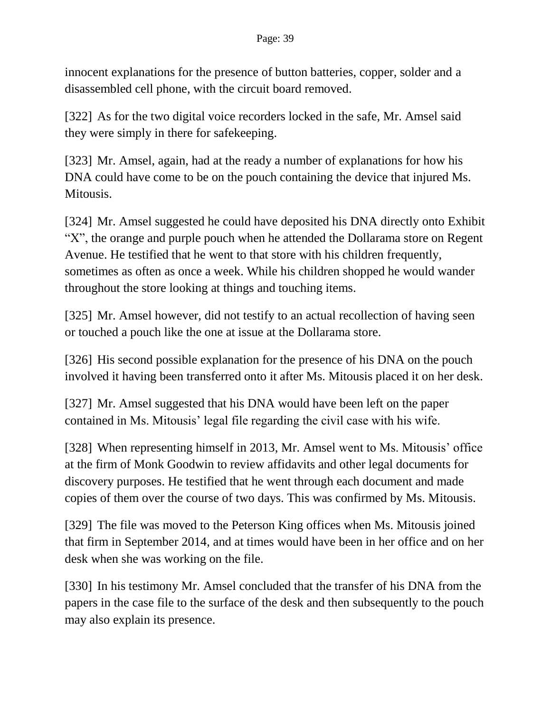innocent explanations for the presence of button batteries, copper, solder and a disassembled cell phone, with the circuit board removed.

[322] As for the two digital voice recorders locked in the safe, Mr. Amsel said they were simply in there for safekeeping.

[323] Mr. Amsel, again, had at the ready a number of explanations for how his DNA could have come to be on the pouch containing the device that injured Ms. Mitousis.

[324] Mr. Amsel suggested he could have deposited his DNA directly onto Exhibit "X", the orange and purple pouch when he attended the Dollarama store on Regent Avenue. He testified that he went to that store with his children frequently, sometimes as often as once a week. While his children shopped he would wander throughout the store looking at things and touching items.

[325] Mr. Amsel however, did not testify to an actual recollection of having seen or touched a pouch like the one at issue at the Dollarama store.

[326] His second possible explanation for the presence of his DNA on the pouch involved it having been transferred onto it after Ms. Mitousis placed it on her desk.

[327] Mr. Amsel suggested that his DNA would have been left on the paper contained in Ms. Mitousis' legal file regarding the civil case with his wife.

[328] When representing himself in 2013, Mr. Amsel went to Ms. Mitousis' office at the firm of Monk Goodwin to review affidavits and other legal documents for discovery purposes. He testified that he went through each document and made copies of them over the course of two days. This was confirmed by Ms. Mitousis.

[329] The file was moved to the Peterson King offices when Ms. Mitousis joined that firm in September 2014, and at times would have been in her office and on her desk when she was working on the file.

[330] In his testimony Mr. Amsel concluded that the transfer of his DNA from the papers in the case file to the surface of the desk and then subsequently to the pouch may also explain its presence.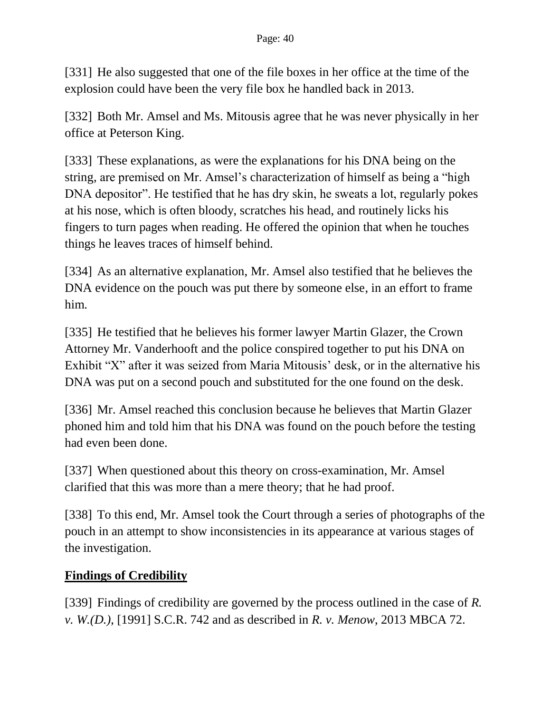[331] He also suggested that one of the file boxes in her office at the time of the explosion could have been the very file box he handled back in 2013.

[332] Both Mr. Amsel and Ms. Mitousis agree that he was never physically in her office at Peterson King.

[333] These explanations, as were the explanations for his DNA being on the string, are premised on Mr. Amsel's characterization of himself as being a "high DNA depositor". He testified that he has dry skin, he sweats a lot, regularly pokes at his nose, which is often bloody, scratches his head, and routinely licks his fingers to turn pages when reading. He offered the opinion that when he touches things he leaves traces of himself behind.

[334] As an alternative explanation, Mr. Amsel also testified that he believes the DNA evidence on the pouch was put there by someone else, in an effort to frame him.

[335] He testified that he believes his former lawyer Martin Glazer, the Crown Attorney Mr. Vanderhooft and the police conspired together to put his DNA on Exhibit "X" after it was seized from Maria Mitousis' desk, or in the alternative his DNA was put on a second pouch and substituted for the one found on the desk.

[336] Mr. Amsel reached this conclusion because he believes that Martin Glazer phoned him and told him that his DNA was found on the pouch before the testing had even been done.

[337] When questioned about this theory on cross-examination, Mr. Amsel clarified that this was more than a mere theory; that he had proof.

[338] To this end, Mr. Amsel took the Court through a series of photographs of the pouch in an attempt to show inconsistencies in its appearance at various stages of the investigation.

# **Findings of Credibility**

[339] Findings of credibility are governed by the process outlined in the case of *R. v. W.(D.)*, [1991] S.C.R. 742 and as described in *R. v. Menow*, 2013 MBCA 72.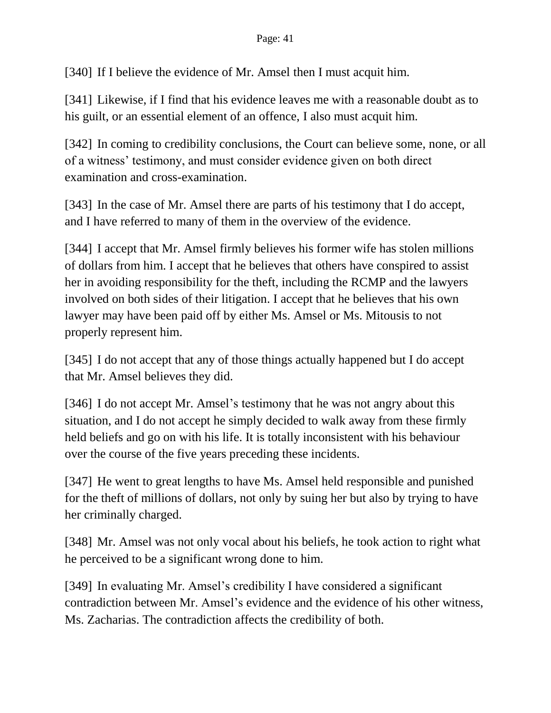[340] If I believe the evidence of Mr. Amsel then I must acquit him.

[341] Likewise, if I find that his evidence leaves me with a reasonable doubt as to his guilt, or an essential element of an offence, I also must acquit him.

[342] In coming to credibility conclusions, the Court can believe some, none, or all of a witness' testimony, and must consider evidence given on both direct examination and cross-examination.

[343] In the case of Mr. Amsel there are parts of his testimony that I do accept, and I have referred to many of them in the overview of the evidence.

[344] I accept that Mr. Amsel firmly believes his former wife has stolen millions of dollars from him. I accept that he believes that others have conspired to assist her in avoiding responsibility for the theft, including the RCMP and the lawyers involved on both sides of their litigation. I accept that he believes that his own lawyer may have been paid off by either Ms. Amsel or Ms. Mitousis to not properly represent him.

[345] I do not accept that any of those things actually happened but I do accept that Mr. Amsel believes they did.

[346] I do not accept Mr. Amsel's testimony that he was not angry about this situation, and I do not accept he simply decided to walk away from these firmly held beliefs and go on with his life. It is totally inconsistent with his behaviour over the course of the five years preceding these incidents.

[347] He went to great lengths to have Ms. Amsel held responsible and punished for the theft of millions of dollars, not only by suing her but also by trying to have her criminally charged.

[348] Mr. Amsel was not only vocal about his beliefs, he took action to right what he perceived to be a significant wrong done to him.

[349] In evaluating Mr. Amsel's credibility I have considered a significant contradiction between Mr. Amsel's evidence and the evidence of his other witness, Ms. Zacharias. The contradiction affects the credibility of both.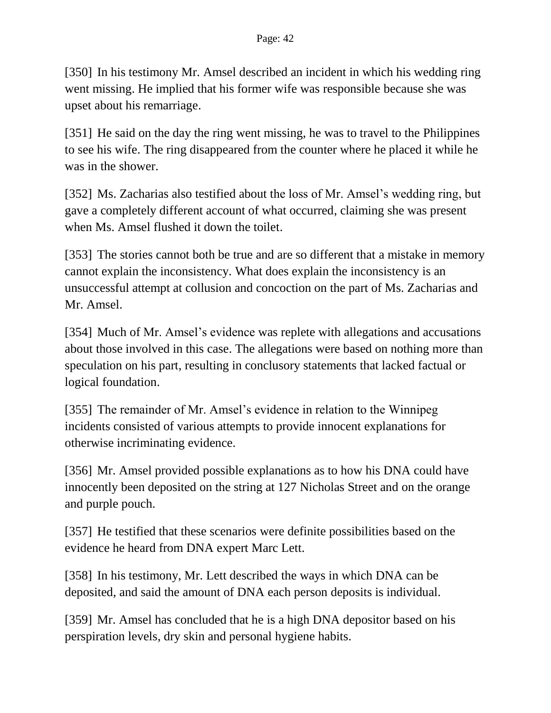[350] In his testimony Mr. Amsel described an incident in which his wedding ring went missing. He implied that his former wife was responsible because she was upset about his remarriage.

[351] He said on the day the ring went missing, he was to travel to the Philippines to see his wife. The ring disappeared from the counter where he placed it while he was in the shower.

[352] Ms. Zacharias also testified about the loss of Mr. Amsel's wedding ring, but gave a completely different account of what occurred, claiming she was present when Ms. Amsel flushed it down the toilet.

[353] The stories cannot both be true and are so different that a mistake in memory cannot explain the inconsistency. What does explain the inconsistency is an unsuccessful attempt at collusion and concoction on the part of Ms. Zacharias and Mr. Amsel.

[354] Much of Mr. Amsel's evidence was replete with allegations and accusations about those involved in this case. The allegations were based on nothing more than speculation on his part, resulting in conclusory statements that lacked factual or logical foundation.

[355] The remainder of Mr. Amsel's evidence in relation to the Winnipeg incidents consisted of various attempts to provide innocent explanations for otherwise incriminating evidence.

[356] Mr. Amsel provided possible explanations as to how his DNA could have innocently been deposited on the string at 127 Nicholas Street and on the orange and purple pouch.

[357] He testified that these scenarios were definite possibilities based on the evidence he heard from DNA expert Marc Lett.

[358] In his testimony, Mr. Lett described the ways in which DNA can be deposited, and said the amount of DNA each person deposits is individual.

[359] Mr. Amsel has concluded that he is a high DNA depositor based on his perspiration levels, dry skin and personal hygiene habits.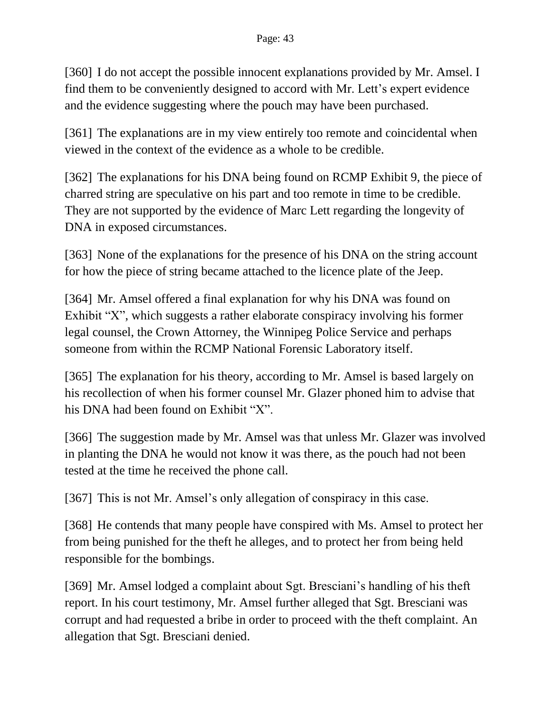[360] I do not accept the possible innocent explanations provided by Mr. Amsel. I find them to be conveniently designed to accord with Mr. Lett's expert evidence and the evidence suggesting where the pouch may have been purchased.

[361] The explanations are in my view entirely too remote and coincidental when viewed in the context of the evidence as a whole to be credible.

[362] The explanations for his DNA being found on RCMP Exhibit 9, the piece of charred string are speculative on his part and too remote in time to be credible. They are not supported by the evidence of Marc Lett regarding the longevity of DNA in exposed circumstances.

[363] None of the explanations for the presence of his DNA on the string account for how the piece of string became attached to the licence plate of the Jeep.

[364] Mr. Amsel offered a final explanation for why his DNA was found on Exhibit "X", which suggests a rather elaborate conspiracy involving his former legal counsel, the Crown Attorney, the Winnipeg Police Service and perhaps someone from within the RCMP National Forensic Laboratory itself.

[365] The explanation for his theory, according to Mr. Amsel is based largely on his recollection of when his former counsel Mr. Glazer phoned him to advise that his DNA had been found on Exhibit "X".

[366] The suggestion made by Mr. Amsel was that unless Mr. Glazer was involved in planting the DNA he would not know it was there, as the pouch had not been tested at the time he received the phone call.

[367] This is not Mr. Amsel's only allegation of conspiracy in this case.

[368] He contends that many people have conspired with Ms. Amsel to protect her from being punished for the theft he alleges, and to protect her from being held responsible for the bombings.

[369] Mr. Amsel lodged a complaint about Sgt. Bresciani's handling of his theft report. In his court testimony, Mr. Amsel further alleged that Sgt. Bresciani was corrupt and had requested a bribe in order to proceed with the theft complaint. An allegation that Sgt. Bresciani denied.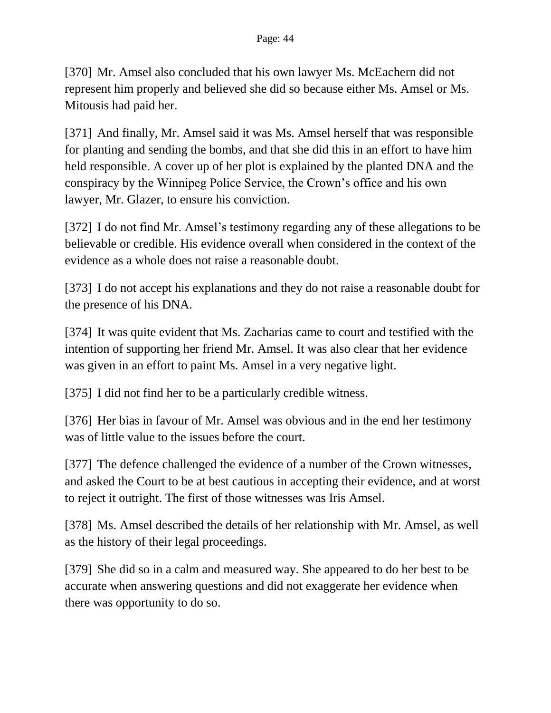[370] Mr. Amsel also concluded that his own lawyer Ms. McEachern did not represent him properly and believed she did so because either Ms. Amsel or Ms. Mitousis had paid her.

[371] And finally, Mr. Amsel said it was Ms. Amsel herself that was responsible for planting and sending the bombs, and that she did this in an effort to have him held responsible. A cover up of her plot is explained by the planted DNA and the conspiracy by the Winnipeg Police Service, the Crown's office and his own lawyer, Mr. Glazer, to ensure his conviction.

[372] I do not find Mr. Amsel's testimony regarding any of these allegations to be believable or credible. His evidence overall when considered in the context of the evidence as a whole does not raise a reasonable doubt.

[373] I do not accept his explanations and they do not raise a reasonable doubt for the presence of his DNA.

[374] It was quite evident that Ms. Zacharias came to court and testified with the intention of supporting her friend Mr. Amsel. It was also clear that her evidence was given in an effort to paint Ms. Amsel in a very negative light.

[375] I did not find her to be a particularly credible witness.

[376] Her bias in favour of Mr. Amsel was obvious and in the end her testimony was of little value to the issues before the court.

[377] The defence challenged the evidence of a number of the Crown witnesses, and asked the Court to be at best cautious in accepting their evidence, and at worst to reject it outright. The first of those witnesses was Iris Amsel.

[378] Ms. Amsel described the details of her relationship with Mr. Amsel, as well as the history of their legal proceedings.

[379] She did so in a calm and measured way. She appeared to do her best to be accurate when answering questions and did not exaggerate her evidence when there was opportunity to do so.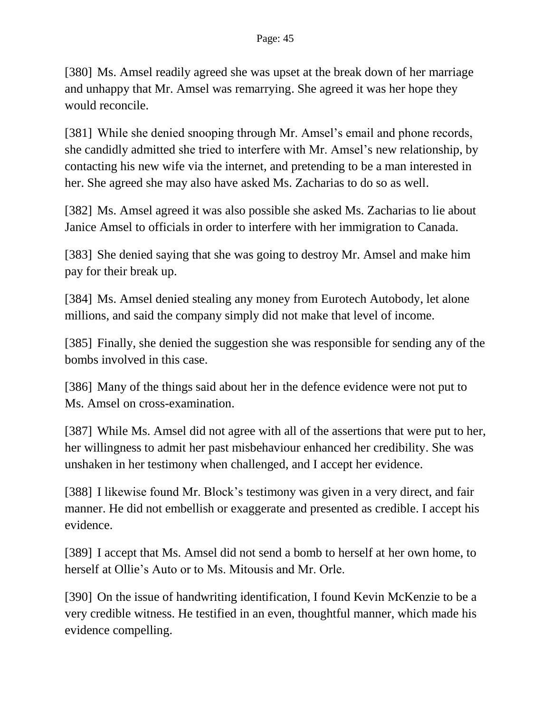[380] Ms. Amsel readily agreed she was upset at the break down of her marriage and unhappy that Mr. Amsel was remarrying. She agreed it was her hope they would reconcile.

[381] While she denied snooping through Mr. Amsel's email and phone records, she candidly admitted she tried to interfere with Mr. Amsel's new relationship, by contacting his new wife via the internet, and pretending to be a man interested in her. She agreed she may also have asked Ms. Zacharias to do so as well.

[382] Ms. Amsel agreed it was also possible she asked Ms. Zacharias to lie about Janice Amsel to officials in order to interfere with her immigration to Canada.

[383] She denied saying that she was going to destroy Mr. Amsel and make him pay for their break up.

[384] Ms. Amsel denied stealing any money from Eurotech Autobody, let alone millions, and said the company simply did not make that level of income.

[385] Finally, she denied the suggestion she was responsible for sending any of the bombs involved in this case.

[386] Many of the things said about her in the defence evidence were not put to Ms. Amsel on cross-examination.

[387] While Ms. Amsel did not agree with all of the assertions that were put to her, her willingness to admit her past misbehaviour enhanced her credibility. She was unshaken in her testimony when challenged, and I accept her evidence.

[388] I likewise found Mr. Block's testimony was given in a very direct, and fair manner. He did not embellish or exaggerate and presented as credible. I accept his evidence.

[389] I accept that Ms. Amsel did not send a bomb to herself at her own home, to herself at Ollie's Auto or to Ms. Mitousis and Mr. Orle.

[390] On the issue of handwriting identification, I found Kevin McKenzie to be a very credible witness. He testified in an even, thoughtful manner, which made his evidence compelling.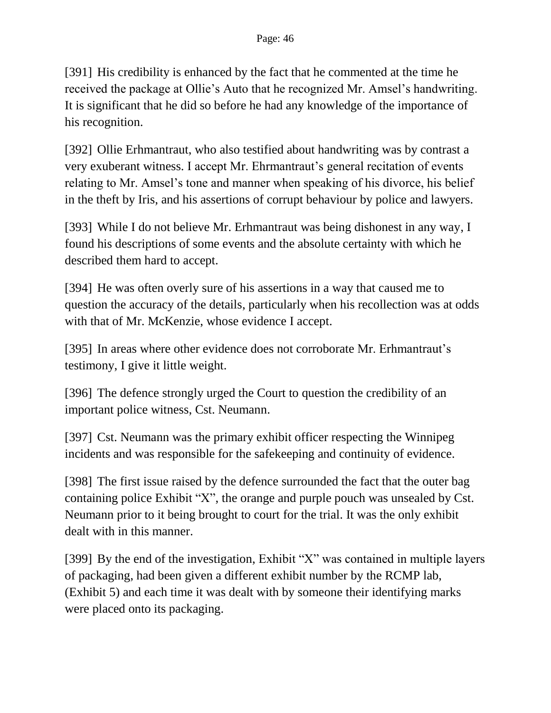[391] His credibility is enhanced by the fact that he commented at the time he received the package at Ollie's Auto that he recognized Mr. Amsel's handwriting. It is significant that he did so before he had any knowledge of the importance of his recognition.

[392] Ollie Erhmantraut, who also testified about handwriting was by contrast a very exuberant witness. I accept Mr. Ehrmantraut's general recitation of events relating to Mr. Amsel's tone and manner when speaking of his divorce, his belief in the theft by Iris, and his assertions of corrupt behaviour by police and lawyers.

[393] While I do not believe Mr. Erhmantraut was being dishonest in any way, I found his descriptions of some events and the absolute certainty with which he described them hard to accept.

[394] He was often overly sure of his assertions in a way that caused me to question the accuracy of the details, particularly when his recollection was at odds with that of Mr. McKenzie, whose evidence I accept.

[395] In areas where other evidence does not corroborate Mr. Erhmantraut's testimony, I give it little weight.

[396] The defence strongly urged the Court to question the credibility of an important police witness, Cst. Neumann.

[397] Cst. Neumann was the primary exhibit officer respecting the Winnipeg incidents and was responsible for the safekeeping and continuity of evidence.

[398] The first issue raised by the defence surrounded the fact that the outer bag containing police Exhibit "X", the orange and purple pouch was unsealed by Cst. Neumann prior to it being brought to court for the trial. It was the only exhibit dealt with in this manner.

[399] By the end of the investigation, Exhibit "X" was contained in multiple layers of packaging, had been given a different exhibit number by the RCMP lab, (Exhibit 5) and each time it was dealt with by someone their identifying marks were placed onto its packaging.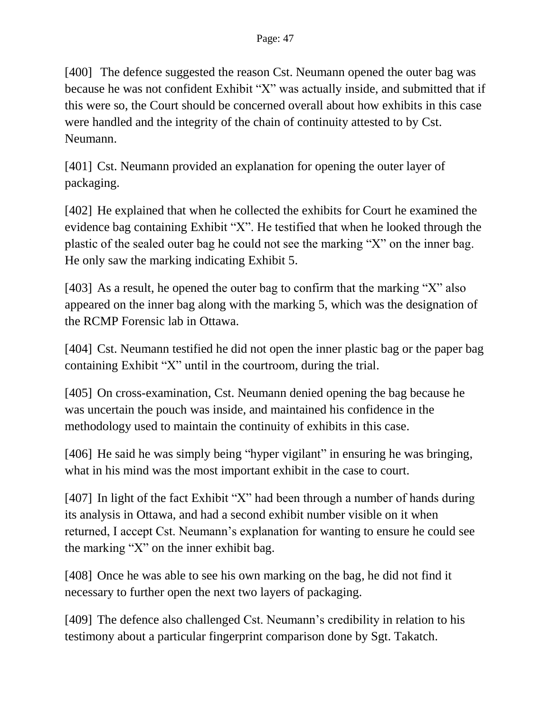[400] The defence suggested the reason Cst. Neumann opened the outer bag was because he was not confident Exhibit "X" was actually inside, and submitted that if this were so, the Court should be concerned overall about how exhibits in this case were handled and the integrity of the chain of continuity attested to by Cst. Neumann.

[401] Cst. Neumann provided an explanation for opening the outer layer of packaging.

[402] He explained that when he collected the exhibits for Court he examined the evidence bag containing Exhibit "X". He testified that when he looked through the plastic of the sealed outer bag he could not see the marking "X" on the inner bag. He only saw the marking indicating Exhibit 5.

[403] As a result, he opened the outer bag to confirm that the marking "X" also appeared on the inner bag along with the marking 5, which was the designation of the RCMP Forensic lab in Ottawa.

[404] Cst. Neumann testified he did not open the inner plastic bag or the paper bag containing Exhibit "X" until in the courtroom, during the trial.

[405] On cross-examination, Cst. Neumann denied opening the bag because he was uncertain the pouch was inside, and maintained his confidence in the methodology used to maintain the continuity of exhibits in this case.

[406] He said he was simply being "hyper vigilant" in ensuring he was bringing, what in his mind was the most important exhibit in the case to court.

[407] In light of the fact Exhibit "X" had been through a number of hands during its analysis in Ottawa, and had a second exhibit number visible on it when returned, I accept Cst. Neumann's explanation for wanting to ensure he could see the marking "X" on the inner exhibit bag.

[408] Once he was able to see his own marking on the bag, he did not find it necessary to further open the next two layers of packaging.

[409] The defence also challenged Cst. Neumann's credibility in relation to his testimony about a particular fingerprint comparison done by Sgt. Takatch.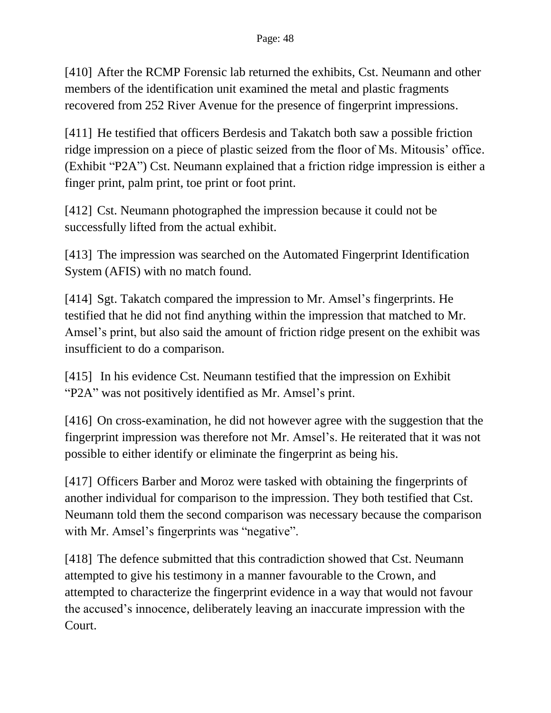[410] After the RCMP Forensic lab returned the exhibits, Cst. Neumann and other members of the identification unit examined the metal and plastic fragments recovered from 252 River Avenue for the presence of fingerprint impressions.

[411] He testified that officers Berdesis and Takatch both saw a possible friction ridge impression on a piece of plastic seized from the floor of Ms. Mitousis' office. (Exhibit "P2A") Cst. Neumann explained that a friction ridge impression is either a finger print, palm print, toe print or foot print.

[412] Cst. Neumann photographed the impression because it could not be successfully lifted from the actual exhibit.

[413] The impression was searched on the Automated Fingerprint Identification System (AFIS) with no match found.

[414] Sgt. Takatch compared the impression to Mr. Amsel's fingerprints. He testified that he did not find anything within the impression that matched to Mr. Amsel's print, but also said the amount of friction ridge present on the exhibit was insufficient to do a comparison.

[415] In his evidence Cst. Neumann testified that the impression on Exhibit "P2A" was not positively identified as Mr. Amsel's print.

[416] On cross-examination, he did not however agree with the suggestion that the fingerprint impression was therefore not Mr. Amsel's. He reiterated that it was not possible to either identify or eliminate the fingerprint as being his.

[417] Officers Barber and Moroz were tasked with obtaining the fingerprints of another individual for comparison to the impression. They both testified that Cst. Neumann told them the second comparison was necessary because the comparison with Mr. Amsel's fingerprints was "negative".

[418] The defence submitted that this contradiction showed that Cst. Neumann attempted to give his testimony in a manner favourable to the Crown, and attempted to characterize the fingerprint evidence in a way that would not favour the accused's innocence, deliberately leaving an inaccurate impression with the Court.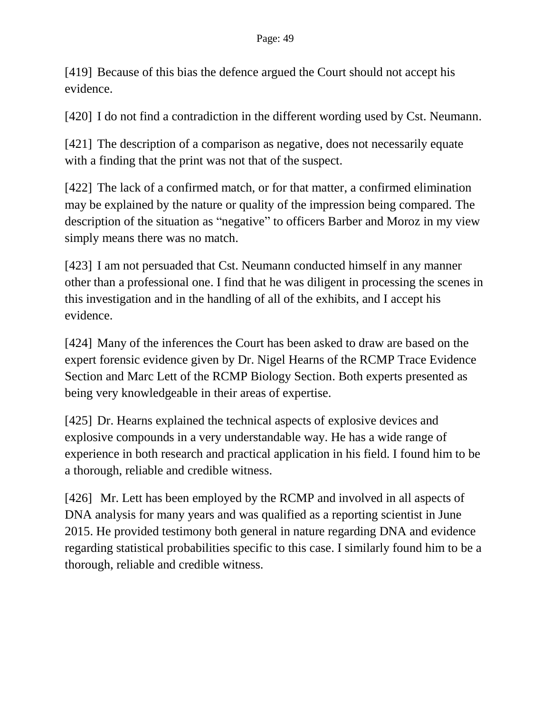[419] Because of this bias the defence argued the Court should not accept his evidence.

[420] I do not find a contradiction in the different wording used by Cst. Neumann.

[421] The description of a comparison as negative, does not necessarily equate with a finding that the print was not that of the suspect.

[422] The lack of a confirmed match, or for that matter, a confirmed elimination may be explained by the nature or quality of the impression being compared. The description of the situation as "negative" to officers Barber and Moroz in my view simply means there was no match.

[423] I am not persuaded that Cst. Neumann conducted himself in any manner other than a professional one. I find that he was diligent in processing the scenes in this investigation and in the handling of all of the exhibits, and I accept his evidence.

[424] Many of the inferences the Court has been asked to draw are based on the expert forensic evidence given by Dr. Nigel Hearns of the RCMP Trace Evidence Section and Marc Lett of the RCMP Biology Section. Both experts presented as being very knowledgeable in their areas of expertise.

[425] Dr. Hearns explained the technical aspects of explosive devices and explosive compounds in a very understandable way. He has a wide range of experience in both research and practical application in his field. I found him to be a thorough, reliable and credible witness.

[426] Mr. Lett has been employed by the RCMP and involved in all aspects of DNA analysis for many years and was qualified as a reporting scientist in June 2015. He provided testimony both general in nature regarding DNA and evidence regarding statistical probabilities specific to this case. I similarly found him to be a thorough, reliable and credible witness.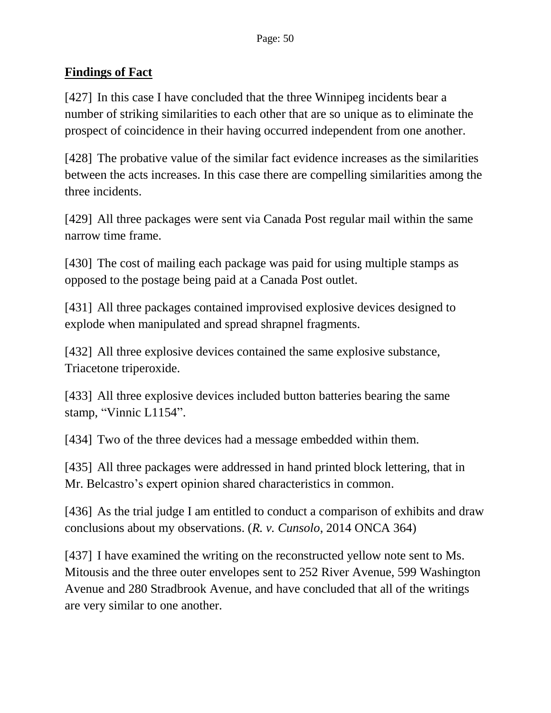## **Findings of Fact**

[427] In this case I have concluded that the three Winnipeg incidents bear a number of striking similarities to each other that are so unique as to eliminate the prospect of coincidence in their having occurred independent from one another.

[428] The probative value of the similar fact evidence increases as the similarities between the acts increases. In this case there are compelling similarities among the three incidents.

[429] All three packages were sent via Canada Post regular mail within the same narrow time frame.

[430] The cost of mailing each package was paid for using multiple stamps as opposed to the postage being paid at a Canada Post outlet.

[431] All three packages contained improvised explosive devices designed to explode when manipulated and spread shrapnel fragments.

[432] All three explosive devices contained the same explosive substance, Triacetone triperoxide.

[433] All three explosive devices included button batteries bearing the same stamp, "Vinnic L1154".

[434] Two of the three devices had a message embedded within them.

[435] All three packages were addressed in hand printed block lettering, that in Mr. Belcastro's expert opinion shared characteristics in common.

[436] As the trial judge I am entitled to conduct a comparison of exhibits and draw conclusions about my observations. (*R. v. Cunsolo*, 2014 ONCA 364)

[437] I have examined the writing on the reconstructed yellow note sent to Ms. Mitousis and the three outer envelopes sent to 252 River Avenue, 599 Washington Avenue and 280 Stradbrook Avenue, and have concluded that all of the writings are very similar to one another.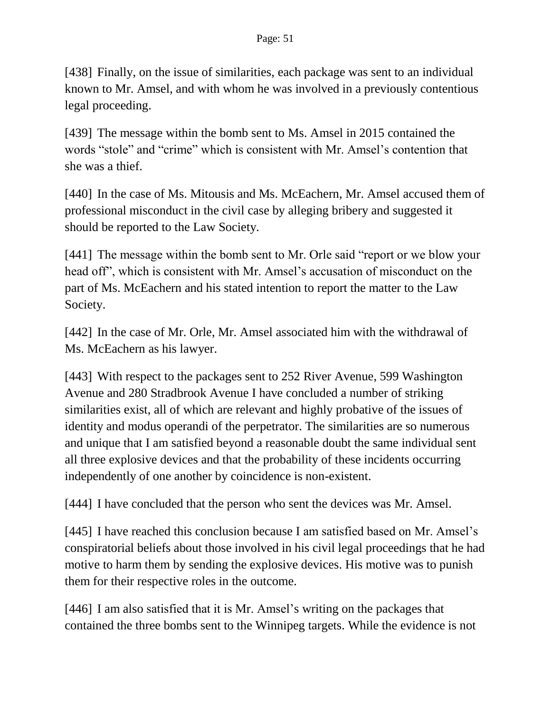[438] Finally, on the issue of similarities, each package was sent to an individual known to Mr. Amsel, and with whom he was involved in a previously contentious legal proceeding.

[439] The message within the bomb sent to Ms. Amsel in 2015 contained the words "stole" and "crime" which is consistent with Mr. Amsel's contention that she was a thief.

[440] In the case of Ms. Mitousis and Ms. McEachern, Mr. Amsel accused them of professional misconduct in the civil case by alleging bribery and suggested it should be reported to the Law Society.

[441] The message within the bomb sent to Mr. Orle said "report or we blow your head off", which is consistent with Mr. Amsel's accusation of misconduct on the part of Ms. McEachern and his stated intention to report the matter to the Law Society.

[442] In the case of Mr. Orle, Mr. Amsel associated him with the withdrawal of Ms. McEachern as his lawyer.

[443] With respect to the packages sent to 252 River Avenue, 599 Washington Avenue and 280 Stradbrook Avenue I have concluded a number of striking similarities exist, all of which are relevant and highly probative of the issues of identity and modus operandi of the perpetrator. The similarities are so numerous and unique that I am satisfied beyond a reasonable doubt the same individual sent all three explosive devices and that the probability of these incidents occurring independently of one another by coincidence is non-existent.

[444] I have concluded that the person who sent the devices was Mr. Amsel.

[445] I have reached this conclusion because I am satisfied based on Mr. Amsel's conspiratorial beliefs about those involved in his civil legal proceedings that he had motive to harm them by sending the explosive devices. His motive was to punish them for their respective roles in the outcome.

[446] I am also satisfied that it is Mr. Amsel's writing on the packages that contained the three bombs sent to the Winnipeg targets. While the evidence is not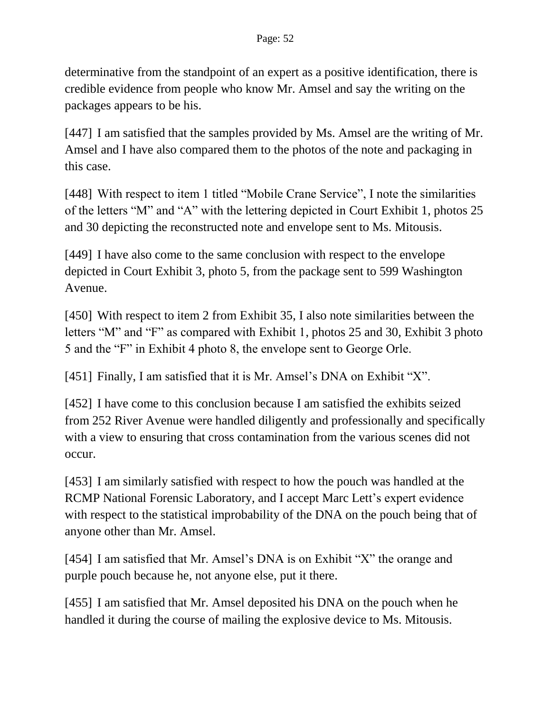determinative from the standpoint of an expert as a positive identification, there is credible evidence from people who know Mr. Amsel and say the writing on the packages appears to be his.

[447] I am satisfied that the samples provided by Ms. Amsel are the writing of Mr. Amsel and I have also compared them to the photos of the note and packaging in this case.

[448] With respect to item 1 titled "Mobile Crane Service", I note the similarities of the letters "M" and "A" with the lettering depicted in Court Exhibit 1, photos 25 and 30 depicting the reconstructed note and envelope sent to Ms. Mitousis.

[449] I have also come to the same conclusion with respect to the envelope depicted in Court Exhibit 3, photo 5, from the package sent to 599 Washington Avenue.

[450] With respect to item 2 from Exhibit 35, I also note similarities between the letters "M" and "F" as compared with Exhibit 1, photos 25 and 30, Exhibit 3 photo 5 and the "F" in Exhibit 4 photo 8, the envelope sent to George Orle.

[451] Finally, I am satisfied that it is Mr. Amsel's DNA on Exhibit "X".

[452] I have come to this conclusion because I am satisfied the exhibits seized from 252 River Avenue were handled diligently and professionally and specifically with a view to ensuring that cross contamination from the various scenes did not occur.

[453] I am similarly satisfied with respect to how the pouch was handled at the RCMP National Forensic Laboratory, and I accept Marc Lett's expert evidence with respect to the statistical improbability of the DNA on the pouch being that of anyone other than Mr. Amsel.

[454] I am satisfied that Mr. Amsel's DNA is on Exhibit "X" the orange and purple pouch because he, not anyone else, put it there.

[455] I am satisfied that Mr. Amsel deposited his DNA on the pouch when he handled it during the course of mailing the explosive device to Ms. Mitousis.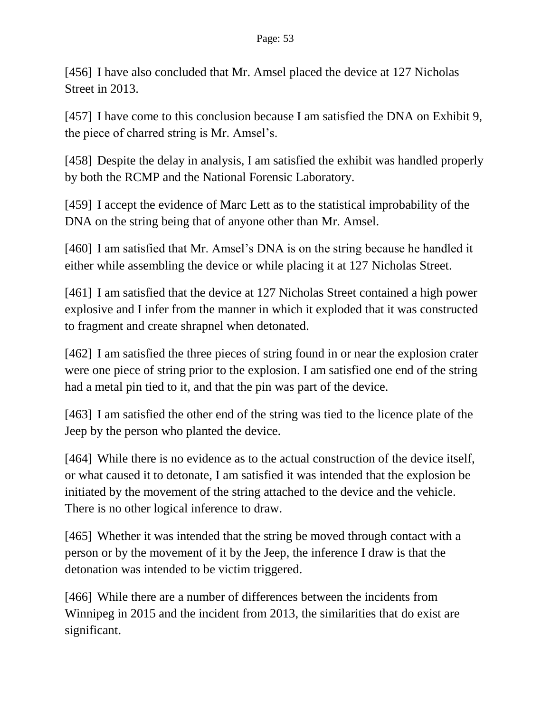[456] I have also concluded that Mr. Amsel placed the device at 127 Nicholas Street in 2013.

[457] I have come to this conclusion because I am satisfied the DNA on Exhibit 9, the piece of charred string is Mr. Amsel's.

[458] Despite the delay in analysis, I am satisfied the exhibit was handled properly by both the RCMP and the National Forensic Laboratory.

[459] I accept the evidence of Marc Lett as to the statistical improbability of the DNA on the string being that of anyone other than Mr. Amsel.

[460] I am satisfied that Mr. Amsel's DNA is on the string because he handled it either while assembling the device or while placing it at 127 Nicholas Street.

[461] I am satisfied that the device at 127 Nicholas Street contained a high power explosive and I infer from the manner in which it exploded that it was constructed to fragment and create shrapnel when detonated.

[462] I am satisfied the three pieces of string found in or near the explosion crater were one piece of string prior to the explosion. I am satisfied one end of the string had a metal pin tied to it, and that the pin was part of the device.

[463] I am satisfied the other end of the string was tied to the licence plate of the Jeep by the person who planted the device.

[464] While there is no evidence as to the actual construction of the device itself, or what caused it to detonate, I am satisfied it was intended that the explosion be initiated by the movement of the string attached to the device and the vehicle. There is no other logical inference to draw.

[465] Whether it was intended that the string be moved through contact with a person or by the movement of it by the Jeep, the inference I draw is that the detonation was intended to be victim triggered.

[466] While there are a number of differences between the incidents from Winnipeg in 2015 and the incident from 2013, the similarities that do exist are significant.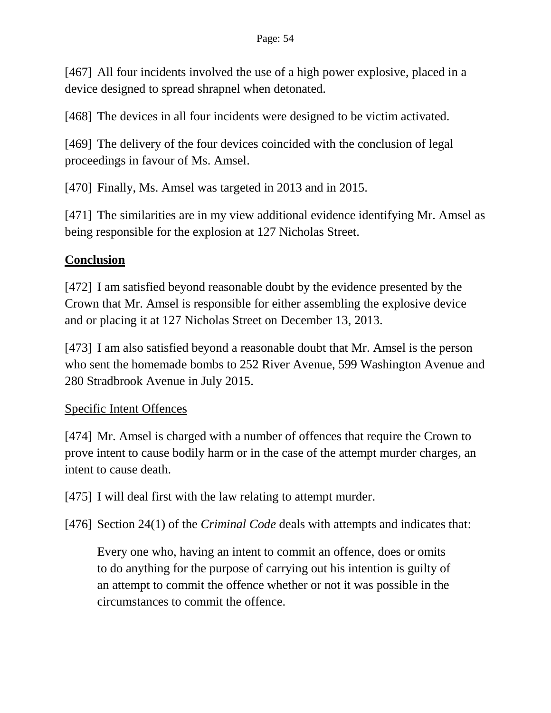[467] All four incidents involved the use of a high power explosive, placed in a device designed to spread shrapnel when detonated.

[468] The devices in all four incidents were designed to be victim activated.

[469] The delivery of the four devices coincided with the conclusion of legal proceedings in favour of Ms. Amsel.

[470] Finally, Ms. Amsel was targeted in 2013 and in 2015.

[471] The similarities are in my view additional evidence identifying Mr. Amsel as being responsible for the explosion at 127 Nicholas Street.

### **Conclusion**

[472] I am satisfied beyond reasonable doubt by the evidence presented by the Crown that Mr. Amsel is responsible for either assembling the explosive device and or placing it at 127 Nicholas Street on December 13, 2013.

[473] I am also satisfied beyond a reasonable doubt that Mr. Amsel is the person who sent the homemade bombs to 252 River Avenue, 599 Washington Avenue and 280 Stradbrook Avenue in July 2015.

### Specific Intent Offences

[474] Mr. Amsel is charged with a number of offences that require the Crown to prove intent to cause bodily harm or in the case of the attempt murder charges, an intent to cause death.

[475] I will deal first with the law relating to attempt murder.

[476] Section 24(1) of the *Criminal Code* deals with attempts and indicates that:

Every one who, having an intent to commit an offence, does or omits to do anything for the purpose of carrying out his intention is guilty of an attempt to commit the offence whether or not it was possible in the circumstances to commit the offence.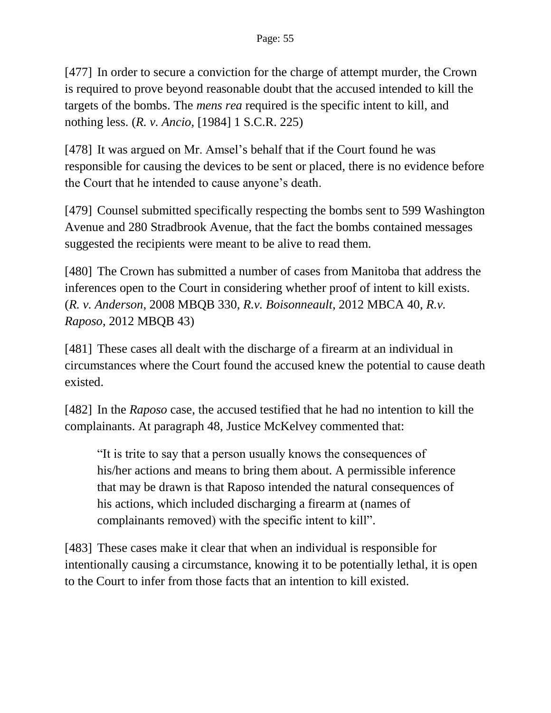[477] In order to secure a conviction for the charge of attempt murder, the Crown is required to prove beyond reasonable doubt that the accused intended to kill the targets of the bombs. The *mens rea* required is the specific intent to kill, and nothing less. (*R. v. Ancio*, [1984] 1 S.C.R. 225)

[478] It was argued on Mr. Amsel's behalf that if the Court found he was responsible for causing the devices to be sent or placed, there is no evidence before the Court that he intended to cause anyone's death.

[479] Counsel submitted specifically respecting the bombs sent to 599 Washington Avenue and 280 Stradbrook Avenue, that the fact the bombs contained messages suggested the recipients were meant to be alive to read them.

[480] The Crown has submitted a number of cases from Manitoba that address the inferences open to the Court in considering whether proof of intent to kill exists. (*R. v. Anderson*, 2008 MBQB 330, *R.v. Boisonneault*, 2012 MBCA 40, *R.v. Raposo*, 2012 MBQB 43)

[481] These cases all dealt with the discharge of a firearm at an individual in circumstances where the Court found the accused knew the potential to cause death existed.

[482] In the *Raposo* case, the accused testified that he had no intention to kill the complainants. At paragraph 48, Justice McKelvey commented that:

"It is trite to say that a person usually knows the consequences of his/her actions and means to bring them about. A permissible inference that may be drawn is that Raposo intended the natural consequences of his actions, which included discharging a firearm at (names of complainants removed) with the specific intent to kill".

[483] These cases make it clear that when an individual is responsible for intentionally causing a circumstance, knowing it to be potentially lethal, it is open to the Court to infer from those facts that an intention to kill existed.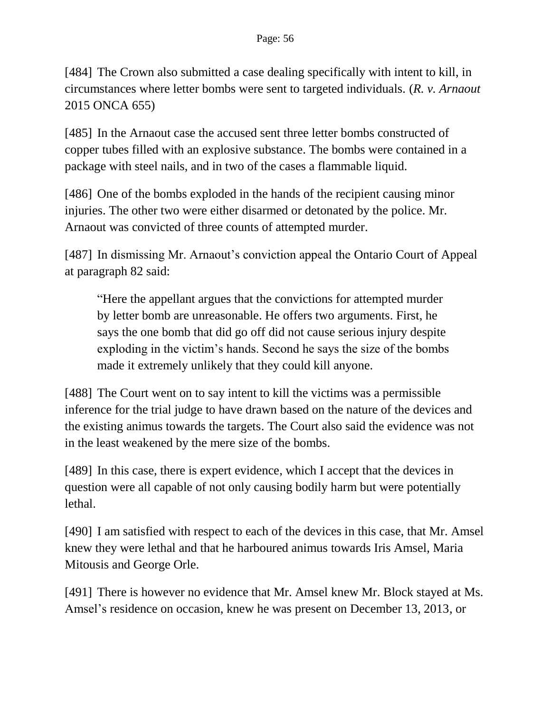[484] The Crown also submitted a case dealing specifically with intent to kill, in circumstances where letter bombs were sent to targeted individuals. (*R. v. Arnaout* 2015 ONCA 655)

[485] In the Arnaout case the accused sent three letter bombs constructed of copper tubes filled with an explosive substance. The bombs were contained in a package with steel nails, and in two of the cases a flammable liquid.

[486] One of the bombs exploded in the hands of the recipient causing minor injuries. The other two were either disarmed or detonated by the police. Mr. Arnaout was convicted of three counts of attempted murder.

[487] In dismissing Mr. Arnaout's conviction appeal the Ontario Court of Appeal at paragraph 82 said:

"Here the appellant argues that the convictions for attempted murder by letter bomb are unreasonable. He offers two arguments. First, he says the one bomb that did go off did not cause serious injury despite exploding in the victim's hands. Second he says the size of the bombs made it extremely unlikely that they could kill anyone.

[488] The Court went on to say intent to kill the victims was a permissible inference for the trial judge to have drawn based on the nature of the devices and the existing animus towards the targets. The Court also said the evidence was not in the least weakened by the mere size of the bombs.

[489] In this case, there is expert evidence, which I accept that the devices in question were all capable of not only causing bodily harm but were potentially lethal.

[490] I am satisfied with respect to each of the devices in this case, that Mr. Amsel knew they were lethal and that he harboured animus towards Iris Amsel, Maria Mitousis and George Orle.

[491] There is however no evidence that Mr. Amsel knew Mr. Block stayed at Ms. Amsel's residence on occasion, knew he was present on December 13, 2013, or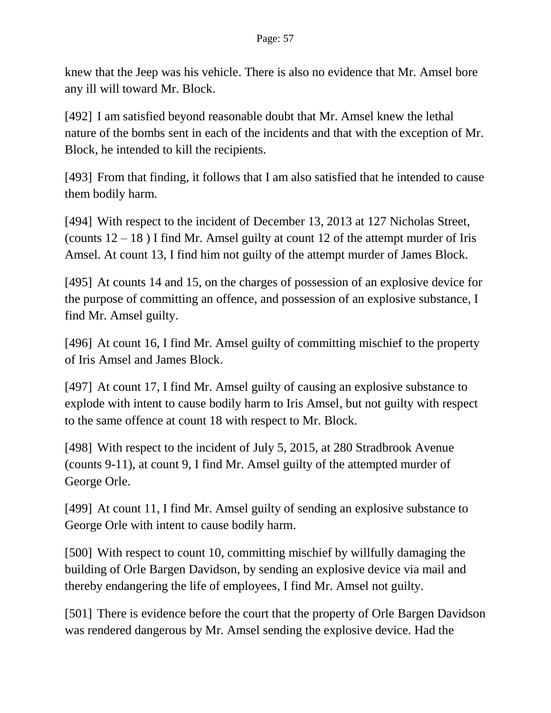knew that the Jeep was his vehicle. There is also no evidence that Mr. Amsel bore any ill will toward Mr. Block.

[492] I am satisfied beyond reasonable doubt that Mr. Amsel knew the lethal nature of the bombs sent in each of the incidents and that with the exception of Mr. Block, he intended to kill the recipients.

[493] From that finding, it follows that I am also satisfied that he intended to cause them bodily harm.

[494] With respect to the incident of December 13, 2013 at 127 Nicholas Street, (counts  $12 - 18$ ) I find Mr. Amsel guilty at count 12 of the attempt murder of Iris Amsel. At count 13, I find him not guilty of the attempt murder of James Block.

[495] At counts 14 and 15, on the charges of possession of an explosive device for the purpose of committing an offence, and possession of an explosive substance, I find Mr. Amsel guilty.

[496] At count 16, I find Mr. Amsel guilty of committing mischief to the property of Iris Amsel and James Block.

[497] At count 17, I find Mr. Amsel guilty of causing an explosive substance to explode with intent to cause bodily harm to Iris Amsel, but not guilty with respect to the same offence at count 18 with respect to Mr. Block.

[498] With respect to the incident of July 5, 2015, at 280 Stradbrook Avenue (counts 9-11), at count 9, I find Mr. Amsel guilty of the attempted murder of George Orle.

[499] At count 11, I find Mr. Amsel guilty of sending an explosive substance to George Orle with intent to cause bodily harm.

[500] With respect to count 10, committing mischief by willfully damaging the building of Orle Bargen Davidson, by sending an explosive device via mail and thereby endangering the life of employees, I find Mr. Amsel not guilty.

[501] There is evidence before the court that the property of Orle Bargen Davidson was rendered dangerous by Mr. Amsel sending the explosive device. Had the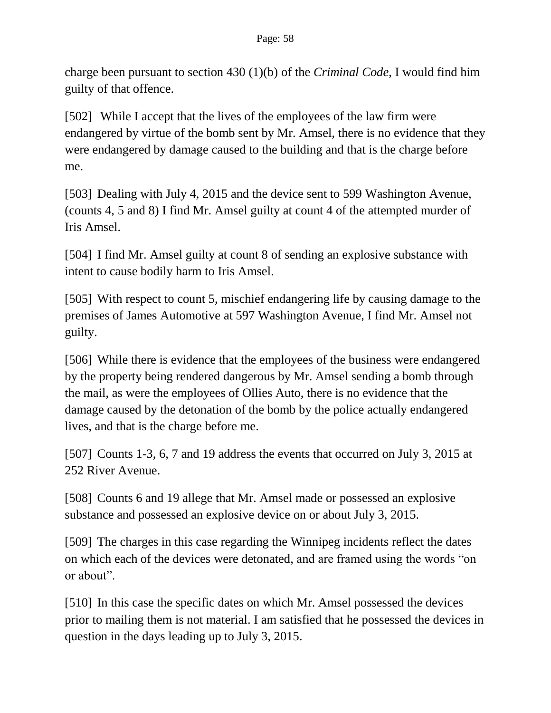charge been pursuant to section 430 (1)(b) of the *Criminal Code*, I would find him guilty of that offence.

[502] While I accept that the lives of the employees of the law firm were endangered by virtue of the bomb sent by Mr. Amsel, there is no evidence that they were endangered by damage caused to the building and that is the charge before me.

[503] Dealing with July 4, 2015 and the device sent to 599 Washington Avenue, (counts 4, 5 and 8) I find Mr. Amsel guilty at count 4 of the attempted murder of Iris Amsel.

[504] I find Mr. Amsel guilty at count 8 of sending an explosive substance with intent to cause bodily harm to Iris Amsel.

[505] With respect to count 5, mischief endangering life by causing damage to the premises of James Automotive at 597 Washington Avenue, I find Mr. Amsel not guilty.

[506] While there is evidence that the employees of the business were endangered by the property being rendered dangerous by Mr. Amsel sending a bomb through the mail, as were the employees of Ollies Auto, there is no evidence that the damage caused by the detonation of the bomb by the police actually endangered lives, and that is the charge before me.

[507] Counts 1-3, 6, 7 and 19 address the events that occurred on July 3, 2015 at 252 River Avenue.

[508] Counts 6 and 19 allege that Mr. Amsel made or possessed an explosive substance and possessed an explosive device on or about July 3, 2015.

[509] The charges in this case regarding the Winnipeg incidents reflect the dates on which each of the devices were detonated, and are framed using the words "on or about".

[510] In this case the specific dates on which Mr. Amsel possessed the devices prior to mailing them is not material. I am satisfied that he possessed the devices in question in the days leading up to July 3, 2015.